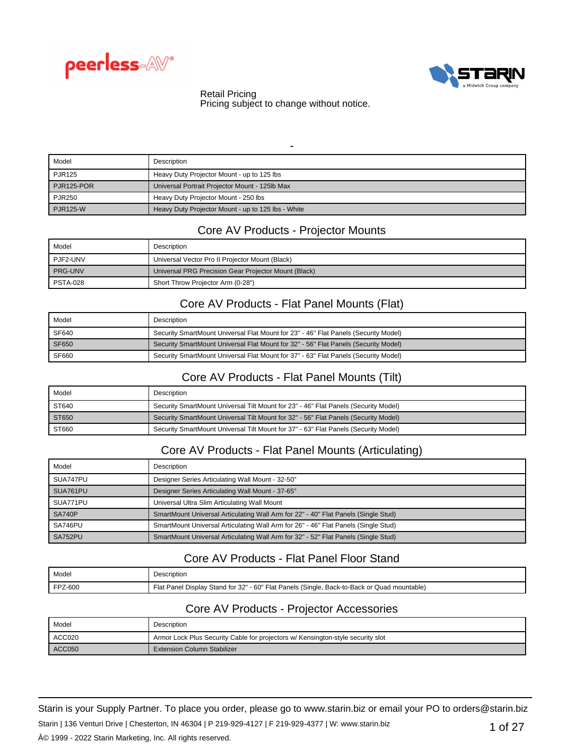



### Retail Pricing

Pricing subject to change without notice.

| -               |                                                    |
|-----------------|----------------------------------------------------|
| Model           | Description                                        |
| <b>PJR125</b>   | Heavy Duty Projector Mount - up to 125 lbs         |
| PJR125-POR      | Universal Portrait Projector Mount - 125lb Max     |
| <b>PJR250</b>   | Heavy Duty Projector Mount - 250 lbs               |
| <b>PJR125-W</b> | Heavy Duty Projector Mount - up to 125 lbs - White |

## Core AV Products - Projector Mounts

| Model           | Description                                          |
|-----------------|------------------------------------------------------|
| PJF2-UNV        | Universal Vector Pro II Projector Mount (Black)      |
| <b>PRG-UNV</b>  | Universal PRG Precision Gear Projector Mount (Black) |
| <b>PSTA-028</b> | Short Throw Projector Arm (0-28")                    |

## Core AV Products - Flat Panel Mounts (Flat)

| Model | Description                                                                         |
|-------|-------------------------------------------------------------------------------------|
| SF640 | Security SmartMount Universal Flat Mount for 23" - 46" Flat Panels (Security Model) |
| SF650 | Security SmartMount Universal Flat Mount for 32" - 56" Flat Panels (Security Model) |
| SF660 | Security SmartMount Universal Flat Mount for 37" - 63" Flat Panels (Security Model) |

## Core AV Products - Flat Panel Mounts (Tilt)

| Model | Description                                                                         |
|-------|-------------------------------------------------------------------------------------|
| ST640 | Security SmartMount Universal Tilt Mount for 23" - 46" Flat Panels (Security Model) |
| ST650 | Security SmartMount Universal Tilt Mount for 32" - 56" Flat Panels (Security Model) |
| ST660 | Security SmartMount Universal Tilt Mount for 37" - 63" Flat Panels (Security Model) |

## Core AV Products - Flat Panel Mounts (Articulating)

| Model    | <b>Description</b>                                                                 |
|----------|------------------------------------------------------------------------------------|
| SUA747PU | Designer Series Articulating Wall Mount - 32-50"                                   |
| SUA761PU | Designer Series Articulating Wall Mount - 37-65"                                   |
| SUA771PU | Universal Ultra Slim Articulating Wall Mount                                       |
| SA740P   | SmartMount Universal Articulating Wall Arm for 22" - 40" Flat Panels (Single Stud) |
| SA746PU  | SmartMount Universal Articulating Wall Arm for 26" - 46" Flat Panels (Single Stud) |
| SA752PU  | SmartMount Universal Articulating Wall Arm for 32" - 52" Flat Panels (Single Stud) |

## Core AV Products - Flat Panel Floor Stand

| Model           | Description                                                                                 |
|-----------------|---------------------------------------------------------------------------------------------|
| <b>IFPZ-600</b> | Flat Panel Display Stand for 32" - 60" Flat Panels (Single, Back-to-Back or Quad mountable) |

## Core AV Products - Projector Accessories

| Model  | Description                                                                     |
|--------|---------------------------------------------------------------------------------|
| ACC020 | Armor Lock Plus Security Cable for projectors w/ Kensington-style security slot |
| ACCO50 | <b>Extension Column Stabilizer</b>                                              |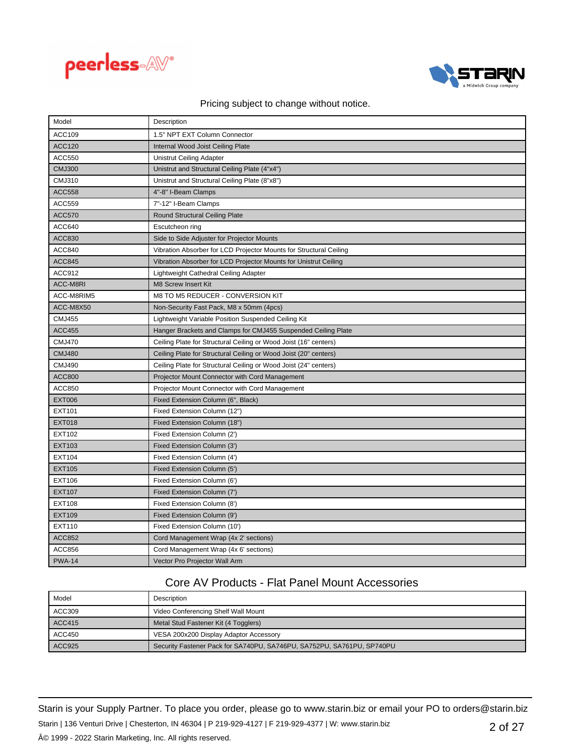



| Model           | Description                                                        |
|-----------------|--------------------------------------------------------------------|
| ACC109          | 1.5" NPT EXT Column Connector                                      |
| <b>ACC120</b>   | Internal Wood Joist Ceiling Plate                                  |
| <b>ACC550</b>   | Unistrut Ceiling Adapter                                           |
| <b>CMJ300</b>   | Unistrut and Structural Ceiling Plate (4"x4")                      |
| <b>CMJ310</b>   | Unistrut and Structural Ceiling Plate (8"x8")                      |
| <b>ACC558</b>   | 4"-8" I-Beam Clamps                                                |
| <b>ACC559</b>   | 7"-12" I-Beam Clamps                                               |
| <b>ACC570</b>   | <b>Round Structural Ceiling Plate</b>                              |
| ACC640          | Escutcheon ring                                                    |
| <b>ACC830</b>   | Side to Side Adjuster for Projector Mounts                         |
| <b>ACC840</b>   | Vibration Absorber for LCD Projector Mounts for Structural Ceiling |
| <b>ACC845</b>   | Vibration Absorber for LCD Projector Mounts for Unistrut Ceiling   |
| ACC912          | Lightweight Cathedral Ceiling Adapter                              |
| <b>ACC-M8RI</b> | M8 Screw Insert Kit                                                |
| ACC-M8RIM5      | M8 TO M5 REDUCER - CONVERSION KIT                                  |
| ACC-M8X50       | Non-Security Fast Pack, M8 x 50mm (4pcs)                           |
| <b>CMJ455</b>   | Lightweight Variable Position Suspended Ceiling Kit                |
| <b>ACC455</b>   | Hanger Brackets and Clamps for CMJ455 Suspended Ceiling Plate      |
| <b>CMJ470</b>   | Ceiling Plate for Structural Ceiling or Wood Joist (16" centers)   |
| <b>CMJ480</b>   | Ceiling Plate for Structural Ceiling or Wood Joist (20" centers)   |
| <b>CMJ490</b>   | Ceiling Plate for Structural Ceiling or Wood Joist (24" centers)   |
| <b>ACC800</b>   | Projector Mount Connector with Cord Management                     |
| <b>ACC850</b>   | Projector Mount Connector with Cord Management                     |
| <b>EXT006</b>   | Fixed Extension Column (6", Black)                                 |
| EXT101          | Fixed Extension Column (12")                                       |
| <b>EXT018</b>   | Fixed Extension Column (18")                                       |
| EXT102          | Fixed Extension Column (2')                                        |
| EXT103          | Fixed Extension Column (3')                                        |
| <b>EXT104</b>   | Fixed Extension Column (4')                                        |
| <b>EXT105</b>   | Fixed Extension Column (5')                                        |
| EXT106          | Fixed Extension Column (6')                                        |
| <b>EXT107</b>   | Fixed Extension Column (7')                                        |
| <b>EXT108</b>   | Fixed Extension Column (8')                                        |
| <b>EXT109</b>   | Fixed Extension Column (9')                                        |
| EXT110          | Fixed Extension Column (10')                                       |
| <b>ACC852</b>   | Cord Management Wrap (4x 2' sections)                              |
| <b>ACC856</b>   | Cord Management Wrap (4x 6' sections)                              |
| <b>PWA-14</b>   | Vector Pro Projector Wall Arm                                      |

# Core AV Products - Flat Panel Mount Accessories

| Model         | Description                                                            |
|---------------|------------------------------------------------------------------------|
| ACC309        | Video Conferencing Shelf Wall Mount                                    |
| <b>ACC415</b> | Metal Stud Fastener Kit (4 Togglers)                                   |
| ACC450        | VESA 200x200 Display Adaptor Accessory                                 |
| ACC925        | Security Fastener Pack for SA740PU, SA746PU, SA752PU, SA761PU, SP740PU |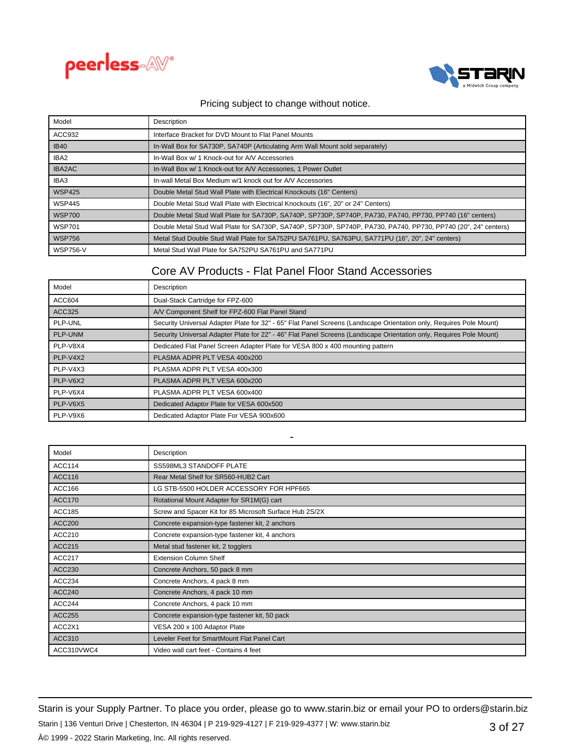



| Model           | Description                                                                                                    |
|-----------------|----------------------------------------------------------------------------------------------------------------|
| ACC932          | Interface Bracket for DVD Mount to Flat Panel Mounts                                                           |
| <b>IB40</b>     | In-Wall Box for SA730P, SA740P (Articulating Arm Wall Mount sold separately)                                   |
| IBA2            | In-Wall Box w/ 1 Knock-out for A/V Accessories                                                                 |
| IBA2AC          | In-Wall Box w/ 1 Knock-out for A/V Accessories, 1 Power Outlet                                                 |
| IBA3            | In-wall Metal Box Medium w/1 knock out for A/V Accessories                                                     |
| <b>WSP425</b>   | Double Metal Stud Wall Plate with Electrical Knockouts (16" Centers)                                           |
| <b>WSP445</b>   | Double Metal Stud Wall Plate with Electrical Knockouts (16", 20" or 24" Centers)                               |
| <b>WSP700</b>   | Double Metal Stud Wall Plate for SA730P, SA740P, SP730P, SP740P, PA730, PA740, PP730, PP740 (16" centers)      |
| <b>WSP701</b>   | Double Metal Stud Wall Plate for SA730P, SA740P, SP730P, SP740P, PA730, PA740, PP730, PP740 (20", 24" centers) |
| <b>WSP756</b>   | Metal Stud Double Stud Wall Plate for SA752PU SA761PU, SA763PU, SA771PU (16", 20", 24" centers)                |
| <b>WSP756-V</b> | Metal Stud Wall Plate for SA752PU SA761PU and SA771PU                                                          |

# Core AV Products - Flat Panel Floor Stand Accessories

| Model    | Description                                                                                                         |
|----------|---------------------------------------------------------------------------------------------------------------------|
| ACC604   | Dual-Stack Cartridge for FPZ-600                                                                                    |
| ACC325   | A/V Component Shelf for FPZ-600 Flat Panel Stand                                                                    |
| PLP-UNL  | Security Universal Adapter Plate for 32" - 65" Flat Panel Screens (Landscape Orientation only, Requires Pole Mount) |
| PLP-UNM  | Security Universal Adapter Plate for 22" - 46" Flat Panel Screens (Landscape Orientation only, Requires Pole Mount) |
| PLP-V8X4 | Dedicated Flat Panel Screen Adapter Plate for VESA 800 x 400 mounting pattern                                       |
| PLP-V4X2 | PLASMA ADPR PLT VESA 400x200                                                                                        |
| PLP-V4X3 | PLASMA ADPR PLT VESA 400x300                                                                                        |
| PLP-V6X2 | PLASMA ADPR PLT VESA 600x200                                                                                        |
| PLP-V6X4 | PLASMA ADPR PLT VESA 600x400                                                                                        |
| PLP-V6X5 | Dedicated Adaptor Plate for VESA 600x500                                                                            |
| PLP-V9X6 | Dedicated Adaptor Plate For VESA 900x600                                                                            |

| Model         | Description                                             |
|---------------|---------------------------------------------------------|
| <b>ACC114</b> | SS598ML3 STANDOFF PLATE                                 |
| <b>ACC116</b> | Rear Metal Shelf for SR560-HUB2 Cart                    |
| ACC166        | LG STB-5500 HOLDER ACCESSORY FOR HPF665                 |
| <b>ACC170</b> | Rotational Mount Adapter for SR1M(G) cart               |
| <b>ACC185</b> | Screw and Spacer Kit for 85 Microsoft Surface Hub 2S/2X |
| <b>ACC200</b> | Concrete expansion-type fastener kit, 2 anchors         |
| ACC210        | Concrete expansion-type fastener kit, 4 anchors         |
| <b>ACC215</b> | Metal stud fastener kit, 2 togglers                     |
| <b>ACC217</b> | <b>Extension Column Shelf</b>                           |
| ACC230        | Concrete Anchors, 50 pack 8 mm                          |
| ACC234        | Concrete Anchors, 4 pack 8 mm                           |
| <b>ACC240</b> | Concrete Anchors, 4 pack 10 mm                          |
| <b>ACC244</b> | Concrete Anchors, 4 pack 10 mm                          |
| <b>ACC255</b> | Concrete expansion-type fastener kit, 50 pack           |
| ACC2X1        | VESA 200 x 100 Adaptor Plate                            |
| ACC310        | Leveler Feet for SmartMount Flat Panel Cart             |
| ACC310VWC4    | Video wall cart feet - Contains 4 feet                  |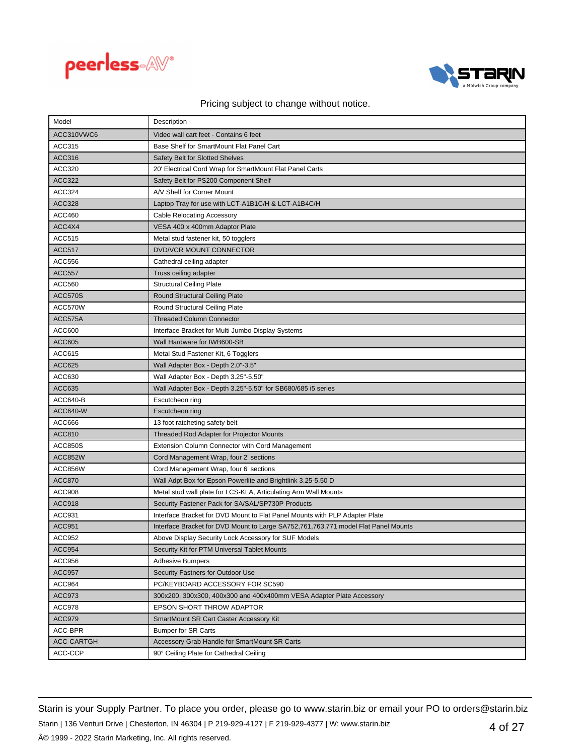



| Model             | Description                                                                        |
|-------------------|------------------------------------------------------------------------------------|
| ACC310VWC6        | Video wall cart feet - Contains 6 feet                                             |
| ACC315            | Base Shelf for SmartMount Flat Panel Cart                                          |
| ACC316            | Safety Belt for Slotted Shelves                                                    |
| ACC320            | 20' Electrical Cord Wrap for SmartMount Flat Panel Carts                           |
| <b>ACC322</b>     | Safety Belt for PS200 Component Shelf                                              |
| ACC324            | A/V Shelf for Corner Mount                                                         |
| <b>ACC328</b>     | Laptop Tray for use with LCT-A1B1C/H & LCT-A1B4C/H                                 |
| <b>ACC460</b>     | Cable Relocating Accessory                                                         |
| ACC4X4            | VESA 400 x 400mm Adaptor Plate                                                     |
| <b>ACC515</b>     | Metal stud fastener kit, 50 togglers                                               |
| <b>ACC517</b>     | DVD/VCR MOUNT CONNECTOR                                                            |
| ACC556            | Cathedral ceiling adapter                                                          |
| <b>ACC557</b>     | Truss ceiling adapter                                                              |
| <b>ACC560</b>     | <b>Structural Ceiling Plate</b>                                                    |
| ACC570S           | Round Structural Ceiling Plate                                                     |
| ACC570W           | Round Structural Ceiling Plate                                                     |
| ACC575A           | <b>Threaded Column Connector</b>                                                   |
| ACC600            | Interface Bracket for Multi Jumbo Display Systems                                  |
| <b>ACC605</b>     | Wall Hardware for IWB600-SB                                                        |
| ACC615            | Metal Stud Fastener Kit, 6 Togglers                                                |
| <b>ACC625</b>     | Wall Adapter Box - Depth 2.0"-3.5"                                                 |
| ACC630            | Wall Adapter Box - Depth 3.25"-5.50"                                               |
| <b>ACC635</b>     | Wall Adapter Box - Depth 3.25"-5.50" for SB680/685 i5 series                       |
| ACC640-B          | Escutcheon ring                                                                    |
| ACC640-W          | Escutcheon ring                                                                    |
| ACC666            | 13 foot ratcheting safety belt                                                     |
| <b>ACC810</b>     | Threaded Rod Adapter for Projector Mounts                                          |
| <b>ACC850S</b>    | Extension Column Connector with Cord Management                                    |
| ACC852W           | Cord Management Wrap, four 2' sections                                             |
| ACC856W           | Cord Management Wrap, four 6' sections                                             |
| <b>ACC870</b>     | Wall Adpt Box for Epson Powerlite and Brightlink 3.25-5.50 D                       |
| ACC908            | Metal stud wall plate for LCS-KLA, Articulating Arm Wall Mounts                    |
| <b>ACC918</b>     | Security Fastener Pack for SA/SAL/SP730P Products                                  |
| ACC931            | Interface Bracket for DVD Mount to Flat Panel Mounts with PLP Adapter Plate        |
| <b>ACC951</b>     | Interface Bracket for DVD Mount to Large SA752,761,763,771 model Flat Panel Mounts |
| ACC952            | Above Display Security Lock Accessory for SUF Models                               |
| <b>ACC954</b>     | Security Kit for PTM Universal Tablet Mounts                                       |
| ACC956            | <b>Adhesive Bumpers</b>                                                            |
| <b>ACC957</b>     | Security Fastners for Outdoor Use                                                  |
| ACC964            | PC/KEYBOARD ACCESSORY FOR SC590                                                    |
| ACC973            | 300x200, 300x300, 400x300 and 400x400mm VESA Adapter Plate Accessory               |
| ACC978            | EPSON SHORT THROW ADAPTOR                                                          |
| ACC979            | SmartMount SR Cart Caster Accessory Kit                                            |
| ACC-BPR           | <b>Bumper for SR Carts</b>                                                         |
| <b>ACC-CARTGH</b> | Accessory Grab Handle for SmartMount SR Carts                                      |
| ACC-CCP           | 90° Ceiling Plate for Cathedral Ceiling                                            |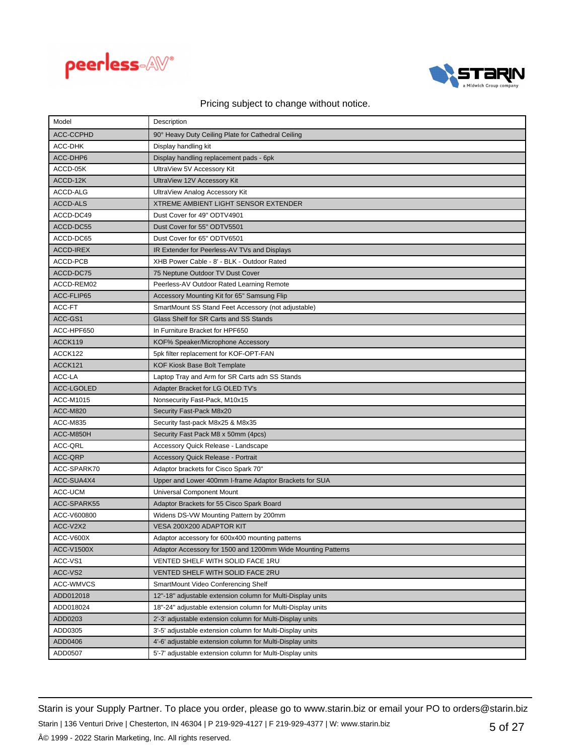



| Model             | Description                                                  |
|-------------------|--------------------------------------------------------------|
| <b>ACC-CCPHD</b>  | 90° Heavy Duty Ceiling Plate for Cathedral Ceiling           |
| <b>ACC-DHK</b>    | Display handling kit                                         |
| ACC-DHP6          | Display handling replacement pads - 6pk                      |
| ACCD-05K          | UltraView 5V Accessory Kit                                   |
| ACCD-12K          | UltraView 12V Accessory Kit                                  |
| ACCD-ALG          | UltraView Analog Accessory Kit                               |
| <b>ACCD-ALS</b>   | <b>XTREME AMBIENT LIGHT SENSOR EXTENDER</b>                  |
| ACCD-DC49         | Dust Cover for 49" ODTV4901                                  |
| ACCD-DC55         | Dust Cover for 55" ODTV5501                                  |
| ACCD-DC65         | Dust Cover for 65" ODTV6501                                  |
| <b>ACCD-IREX</b>  | IR Extender for Peerless-AV TVs and Displays                 |
| ACCD-PCB          | XHB Power Cable - 8' - BLK - Outdoor Rated                   |
| ACCD-DC75         | 75 Neptune Outdoor TV Dust Cover                             |
| ACCD-REM02        | Peerless-AV Outdoor Rated Learning Remote                    |
| ACC-FLIP65        | Accessory Mounting Kit for 65" Samsung Flip                  |
| ACC-FT            | SmartMount SS Stand Feet Accessory (not adjustable)          |
| ACC-GS1           | Glass Shelf for SR Carts and SS Stands                       |
| ACC-HPF650        | In Furniture Bracket for HPF650                              |
| ACCK119           | KOF% Speaker/Microphone Accessory                            |
| ACCK122           | 5pk filter replacement for KOF-OPT-FAN                       |
| ACCK121           | <b>KOF Kiosk Base Bolt Template</b>                          |
| ACC-LA            | Laptop Tray and Arm for SR Carts adn SS Stands               |
| <b>ACC-LGOLED</b> | Adapter Bracket for LG OLED TV's                             |
| ACC-M1015         | Nonsecurity Fast-Pack, M10x15                                |
| <b>ACC-M820</b>   | Security Fast-Pack M8x20                                     |
| ACC-M835          | Security fast-pack M8x25 & M8x35                             |
| ACC-M850H         | Security Fast Pack M8 x 50mm (4pcs)                          |
| ACC-QRL           | Accessory Quick Release - Landscape                          |
| ACC-QRP           | <b>Accessory Quick Release - Portrait</b>                    |
| ACC-SPARK70       | Adaptor brackets for Cisco Spark 70"                         |
| ACC-SUA4X4        | Upper and Lower 400mm I-frame Adaptor Brackets for SUA       |
| ACC-UCM           | Universal Component Mount                                    |
| ACC-SPARK55       | Adaptor Brackets for 55 Cisco Spark Board                    |
| ACC-V600800       | Widens DS-VW Mounting Pattern by 200mm                       |
| ACC-V2X2          | VESA 200X200 ADAPTOR KIT                                     |
| ACC-V600X         | Adaptor accessory for 600x400 mounting patterns              |
| <b>ACC-V1500X</b> | Adaptor Accessory for 1500 and 1200mm Wide Mounting Patterns |
| ACC-VS1           | VENTED SHELF WITH SOLID FACE 1RU                             |
| ACC-VS2           | VENTED SHELF WITH SOLID FACE 2RU                             |
| <b>ACC-WMVCS</b>  | SmartMount Video Conferencing Shelf                          |
| ADD012018         | 12"-18" adjustable extension column for Multi-Display units  |
| ADD018024         | 18"-24" adjustable extension column for Multi-Display units  |
| ADD0203           | 2'-3' adjustable extension column for Multi-Display units    |
| ADD0305           | 3'-5' adjustable extension column for Multi-Display units    |
| ADD0406           | 4'-6' adjustable extension column for Multi-Display units    |
| ADD0507           | 5'-7' adjustable extension column for Multi-Display units    |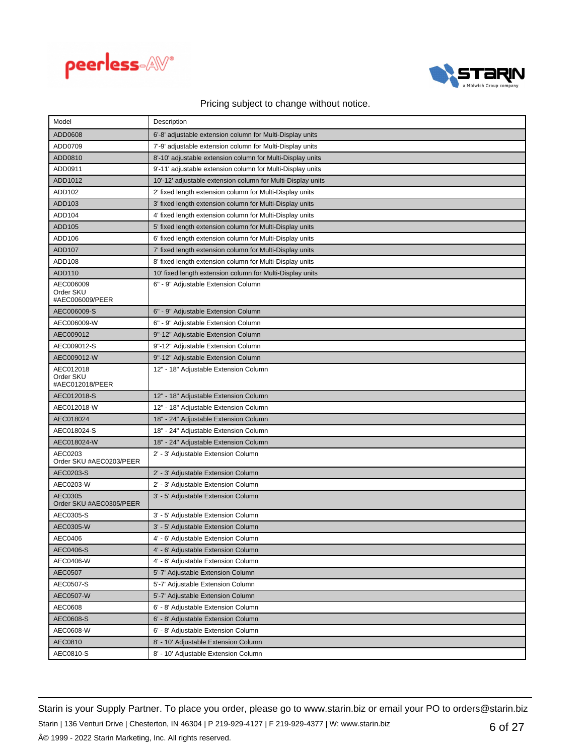



| Model                                     | Description                                                 |
|-------------------------------------------|-------------------------------------------------------------|
| ADD0608                                   | 6'-8' adjustable extension column for Multi-Display units   |
| ADD0709                                   | 7'-9' adjustable extension column for Multi-Display units   |
| ADD0810                                   | 8'-10' adjustable extension column for Multi-Display units  |
| ADD0911                                   | 9'-11' adjustable extension column for Multi-Display units  |
| ADD1012                                   | 10'-12' adjustable extension column for Multi-Display units |
| ADD102                                    | 2' fixed length extension column for Multi-Display units    |
| ADD103                                    | 3' fixed length extension column for Multi-Display units    |
| ADD104                                    | 4' fixed length extension column for Multi-Display units    |
| ADD105                                    | 5' fixed length extension column for Multi-Display units    |
| ADD106                                    | 6' fixed length extension column for Multi-Display units    |
| <b>ADD107</b>                             | 7' fixed length extension column for Multi-Display units    |
| ADD108                                    | 8' fixed length extension column for Multi-Display units    |
| ADD110                                    | 10' fixed length extension column for Multi-Display units   |
| AEC006009<br>Order SKU<br>#AEC006009/PEER | 6" - 9" Adjustable Extension Column                         |
| AEC006009-S                               | 6" - 9" Adjustable Extension Column                         |
| AEC006009-W                               | 6" - 9" Adjustable Extension Column                         |
| AEC009012                                 | 9"-12" Adjustable Extension Column                          |
| AEC009012-S                               | 9"-12" Adjustable Extension Column                          |
| AEC009012-W                               | 9"-12" Adjustable Extension Column                          |
| AEC012018<br>Order SKU<br>#AEC012018/PEER | 12" - 18" Adjustable Extension Column                       |
| AEC012018-S                               | 12" - 18" Adjustable Extension Column                       |
|                                           |                                                             |
| AEC012018-W                               | 12" - 18" Adjustable Extension Column                       |
| AEC018024                                 | 18" - 24" Adjustable Extension Column                       |
| AEC018024-S                               | 18" - 24" Adjustable Extension Column                       |
| AEC018024-W                               | 18" - 24" Adjustable Extension Column                       |
| AEC0203<br>Order SKU #AEC0203/PEER        | 2' - 3' Adjustable Extension Column                         |
| AEC0203-S                                 | 2' - 3' Adjustable Extension Column                         |
| AEC0203-W                                 | 2' - 3' Adjustable Extension Column                         |
| AEC0305<br>Order SKU #AEC0305/PEER        | 3' - 5' Adjustable Extension Column                         |
| AEC0305-S                                 | 3' - 5' Adjustable Extension Column                         |
| AEC0305-W                                 | 3' - 5' Adjustable Extension Column                         |
| AEC0406                                   | 4' - 6' Adjustable Extension Column                         |
| AEC0406-S                                 | 4' - 6' Adjustable Extension Column                         |
| AEC0406-W                                 | 4' - 6' Adjustable Extension Column                         |
| AEC0507                                   | 5'-7' Adjustable Extension Column                           |
| AEC0507-S                                 | 5'-7' Adjustable Extension Column                           |
| <b>AEC0507-W</b>                          | 5'-7' Adjustable Extension Column                           |
| AEC0608                                   | 6' - 8' Adjustable Extension Column                         |
| AEC0608-S                                 | 6' - 8' Adjustable Extension Column                         |
| AEC0608-W                                 | 6' - 8' Adjustable Extension Column                         |
| AEC0810                                   | 8' - 10' Adjustable Extension Column                        |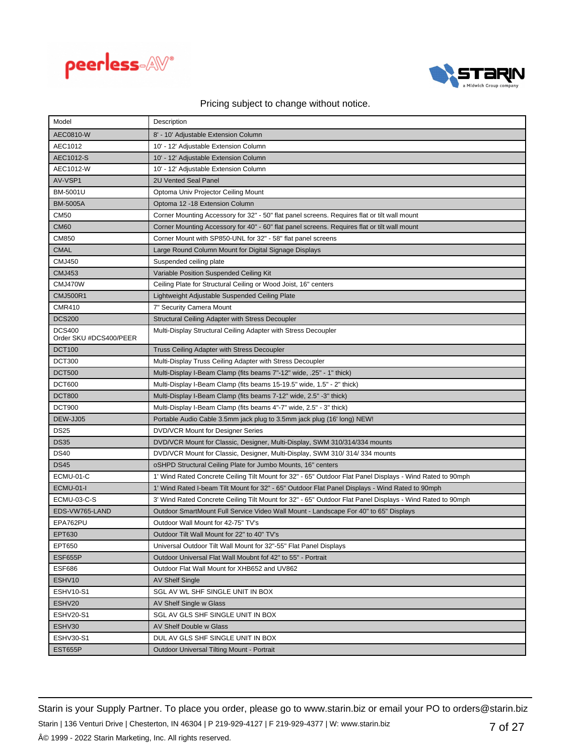



| Model                                   | Description                                                                                               |
|-----------------------------------------|-----------------------------------------------------------------------------------------------------------|
| AEC0810-W                               | 8' - 10' Adjustable Extension Column                                                                      |
| AEC1012                                 | 10' - 12' Adjustable Extension Column                                                                     |
| AEC1012-S                               | 10' - 12' Adjustable Extension Column                                                                     |
| AEC1012-W                               | 10' - 12' Adjustable Extension Column                                                                     |
| AV-VSP1                                 | 2U Vented Seal Panel                                                                                      |
| BM-5001U                                | Optoma Univ Projector Ceiling Mount                                                                       |
| <b>BM-5005A</b>                         | Optoma 12 -18 Extension Column                                                                            |
| <b>CM50</b>                             | Corner Mounting Accessory for 32" - 50" flat panel screens. Requires flat or tilt wall mount              |
| <b>CM60</b>                             | Corner Mounting Accessory for 40" - 60" flat panel screens. Requires flat or tilt wall mount              |
| CM850                                   | Corner Mount with SP850-UNL for 32" - 58" flat panel screens                                              |
| <b>CMAL</b>                             | Large Round Column Mount for Digital Signage Displays                                                     |
| <b>CMJ450</b>                           | Suspended ceiling plate                                                                                   |
| <b>CMJ453</b>                           | Variable Position Suspended Ceiling Kit                                                                   |
| CMJ470W                                 | Ceiling Plate for Structural Ceiling or Wood Joist, 16" centers                                           |
| <b>CMJ500R1</b>                         | Lightweight Adjustable Suspended Ceiling Plate                                                            |
| <b>CMR410</b>                           | 7" Security Camera Mount                                                                                  |
| <b>DCS200</b>                           | Structural Ceiling Adapter with Stress Decoupler                                                          |
| <b>DCS400</b><br>Order SKU #DCS400/PEER | Multi-Display Structural Ceiling Adapter with Stress Decoupler                                            |
| <b>DCT100</b>                           | Truss Ceiling Adapter with Stress Decoupler                                                               |
| <b>DCT300</b>                           | Multi-Display Truss Ceiling Adapter with Stress Decoupler                                                 |
| <b>DCT500</b>                           | Multi-Display I-Beam Clamp (fits beams 7"-12" wide, .25" - 1" thick)                                      |
| DCT600                                  | Multi-Display I-Beam Clamp (fits beams 15-19.5" wide, 1.5" - 2" thick)                                    |
| <b>DCT800</b>                           | Multi-Display I-Beam Clamp (fits beams 7-12" wide, 2.5" -3" thick)                                        |
| <b>DCT900</b>                           | Multi-Display I-Beam Clamp (fits beams 4"-7" wide, 2.5" - 3" thick)                                       |
| DEW-JJ05                                | Portable Audio Cable 3.5mm jack plug to 3.5mm jack plug (16' long) NEW!                                   |
| <b>DS25</b>                             | DVD/VCR Mount for Designer Series                                                                         |
| <b>DS35</b>                             | DVD/VCR Mount for Classic, Designer, Multi-Display, SWM 310/314/334 mounts                                |
| <b>DS40</b>                             | DVD/VCR Mount for Classic, Designer, Multi-Display, SWM 310/314/334 mounts                                |
| <b>DS45</b>                             | oSHPD Structural Ceiling Plate for Jumbo Mounts, 16" centers                                              |
| ECMU-01-C                               | 1' Wind Rated Concrete Ceiling Tilt Mount for 32" - 65" Outdoor Flat Panel Displays - Wind Rated to 90mph |
| <b>ECMU-01-I</b>                        | 1' Wind Rated I-beam Tilt Mount for 32" - 65" Outdoor Flat Panel Displays - Wind Rated to 90mph           |
| ECMU-03-C-S                             | 3' Wind Rated Concrete Ceiling Tilt Mount for 32" - 65" Outdoor Flat Panel Displays - Wind Rated to 90mph |
| EDS-VW765-LAND                          | Outdoor SmartMount Full Service Video Wall Mount - Landscape For 40" to 65" Displays                      |
| EPA762PU                                | Outdoor Wall Mount for 42-75" TV's                                                                        |
| EPT630                                  | Outdoor Tilt Wall Mount for 22" to 40" TV's                                                               |
| EPT650                                  | Universal Outdoor Tilt Wall Mount for 32"-55" Flat Panel Displays                                         |
| ESF655P                                 | Outdoor Universal Flat Wall Moubnt fof 42" to 55" - Portrait                                              |
| <b>ESF686</b>                           | Outdoor Flat Wall Mount for XHB652 and UV862                                                              |
| ESHV10                                  | <b>AV Shelf Single</b>                                                                                    |
| ESHV10-S1                               | SGL AV WL SHF SINGLE UNIT IN BOX                                                                          |
| ESHV20                                  | AV Shelf Single w Glass                                                                                   |
| <b>ESHV20-S1</b>                        | SGL AV GLS SHF SINGLE UNIT IN BOX                                                                         |
| ESHV30                                  | AV Shelf Double w Glass                                                                                   |
| ESHV30-S1                               | DUL AV GLS SHF SINGLE UNIT IN BOX                                                                         |
| EST655P                                 | Outdoor Universal Tilting Mount - Portrait                                                                |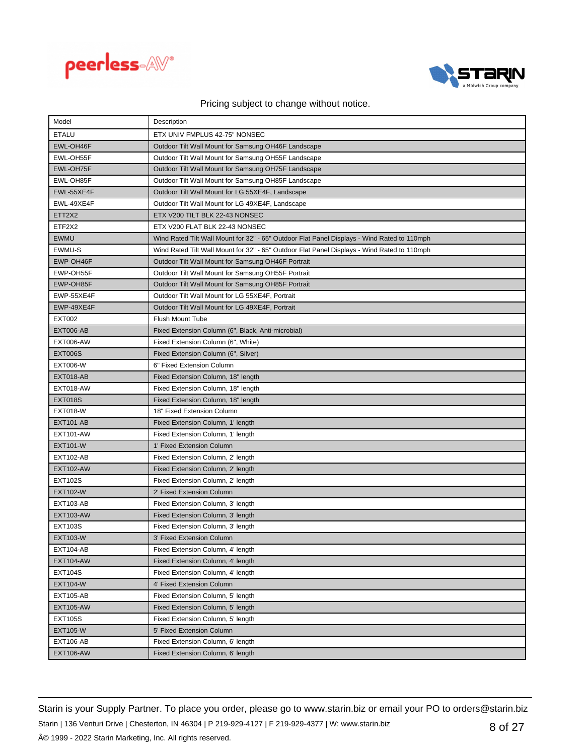



| Model            | Description                                                                                 |
|------------------|---------------------------------------------------------------------------------------------|
| <b>ETALU</b>     | ETX UNIV FMPLUS 42-75" NONSEC                                                               |
| EWL-OH46F        | Outdoor Tilt Wall Mount for Samsung OH46F Landscape                                         |
| EWL-OH55F        | Outdoor Tilt Wall Mount for Samsung OH55F Landscape                                         |
| EWL-OH75F        | Outdoor Tilt Wall Mount for Samsung OH75F Landscape                                         |
| EWL-OH85F        | Outdoor Tilt Wall Mount for Samsung OH85F Landscape                                         |
| EWL-55XE4F       | Outdoor Tilt Wall Mount for LG 55XE4F, Landscape                                            |
| EWL-49XE4F       | Outdoor Tilt Wall Mount for LG 49XE4F, Landscape                                            |
| ETT2X2           | ETX V200 TILT BLK 22-43 NONSEC                                                              |
| ETF2X2           | ETX V200 FLAT BLK 22-43 NONSEC                                                              |
| <b>EWMU</b>      | Wind Rated Tilt Wall Mount for 32" - 65" Outdoor Flat Panel Displays - Wind Rated to 110mph |
| EWMU-S           | Wind Rated Tilt Wall Mount for 32" - 65" Outdoor Flat Panel Displays - Wind Rated to 110mph |
| EWP-OH46F        | Outdoor Tilt Wall Mount for Samsung OH46F Portrait                                          |
| EWP-OH55F        | Outdoor Tilt Wall Mount for Samsung OH55F Portrait                                          |
| EWP-OH85F        | Outdoor Tilt Wall Mount for Samsung OH85F Portrait                                          |
| EWP-55XE4F       | Outdoor Tilt Wall Mount for LG 55XE4F, Portrait                                             |
| EWP-49XE4F       | Outdoor Tilt Wall Mount for LG 49XE4F, Portrait                                             |
| <b>EXT002</b>    | <b>Flush Mount Tube</b>                                                                     |
| EXT006-AB        | Fixed Extension Column (6", Black, Anti-microbial)                                          |
| <b>EXT006-AW</b> | Fixed Extension Column (6", White)                                                          |
| <b>EXT006S</b>   | Fixed Extension Column (6", Silver)                                                         |
| <b>EXT006-W</b>  | 6" Fixed Extension Column                                                                   |
| EXT018-AB        | Fixed Extension Column, 18" length                                                          |
| EXT018-AW        | Fixed Extension Column, 18" length                                                          |
| <b>EXT018S</b>   | Fixed Extension Column, 18" length                                                          |
| <b>EXT018-W</b>  | 18" Fixed Extension Column                                                                  |
| <b>EXT101-AB</b> | Fixed Extension Column, 1' length                                                           |
| <b>EXT101-AW</b> | Fixed Extension Column, 1' length                                                           |
| <b>EXT101-W</b>  | 1' Fixed Extension Column                                                                   |
| <b>EXT102-AB</b> | Fixed Extension Column, 2' length                                                           |
| <b>EXT102-AW</b> | Fixed Extension Column, 2' length                                                           |
| <b>EXT102S</b>   | Fixed Extension Column, 2' length                                                           |
| <b>EXT102-W</b>  | 2' Fixed Extension Column                                                                   |
| <b>EXT103-AB</b> | Fixed Extension Column, 3' length                                                           |
| <b>EXT103-AW</b> | Fixed Extension Column, 3' length                                                           |
| <b>EXT103S</b>   | Fixed Extension Column, 3' length                                                           |
| <b>EXT103-W</b>  | 3' Fixed Extension Column                                                                   |
| <b>EXT104-AB</b> | Fixed Extension Column, 4' length                                                           |
| <b>EXT104-AW</b> | Fixed Extension Column, 4' length                                                           |
| <b>EXT104S</b>   | Fixed Extension Column, 4' length                                                           |
| <b>EXT104-W</b>  | 4' Fixed Extension Column                                                                   |
| <b>EXT105-AB</b> | Fixed Extension Column, 5' length                                                           |
| <b>EXT105-AW</b> | Fixed Extension Column, 5' length                                                           |
| <b>EXT105S</b>   | Fixed Extension Column, 5' length                                                           |
| <b>EXT105-W</b>  | 5' Fixed Extension Column                                                                   |
| <b>EXT106-AB</b> | Fixed Extension Column, 6' length                                                           |
| <b>EXT106-AW</b> | Fixed Extension Column, 6' length                                                           |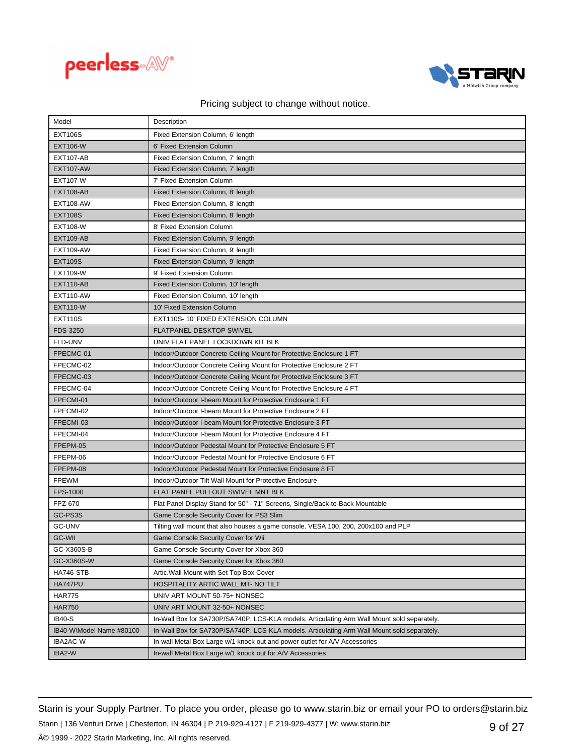



| Model                    | Description                                                                                 |
|--------------------------|---------------------------------------------------------------------------------------------|
| <b>EXT106S</b>           | Fixed Extension Column, 6' length                                                           |
| <b>EXT106-W</b>          | 6' Fixed Extension Column                                                                   |
| <b>EXT107-AB</b>         | Fixed Extension Column, 7' length                                                           |
| <b>EXT107-AW</b>         | Fixed Extension Column, 7' length                                                           |
| <b>EXT107-W</b>          | 7' Fixed Extension Column                                                                   |
| <b>EXT108-AB</b>         | Fixed Extension Column, 8' length                                                           |
| <b>EXT108-AW</b>         | Fixed Extension Column, 8' length                                                           |
| <b>EXT108S</b>           | Fixed Extension Column, 8' length                                                           |
| <b>EXT108-W</b>          | 8' Fixed Extension Column                                                                   |
| <b>EXT109-AB</b>         | Fixed Extension Column, 9' length                                                           |
| <b>EXT109-AW</b>         | Fixed Extension Column, 9' length                                                           |
| <b>EXT109S</b>           | Fixed Extension Column, 9' length                                                           |
| <b>EXT109-W</b>          | 9' Fixed Extension Column                                                                   |
| <b>EXT110-AB</b>         | Fixed Extension Column, 10' length                                                          |
| <b>EXT110-AW</b>         | Fixed Extension Column, 10' length                                                          |
| <b>EXT110-W</b>          | 10' Fixed Extension Column                                                                  |
| <b>EXT110S</b>           | EXT110S-10' FIXED EXTENSION COLUMN                                                          |
| FDS-3250                 | <b>FLATPANEL DESKTOP SWIVEL</b>                                                             |
| FLD-UNV                  | UNIV FLAT PANEL LOCKDOWN KIT BLK                                                            |
| FPECMC-01                | Indoor/Outdoor Concrete Ceiling Mount for Protective Enclosure 1 FT                         |
| FPECMC-02                | Indoor/Outdoor Concrete Ceiling Mount for Protective Enclosure 2 FT                         |
| FPECMC-03                | Indoor/Outdoor Concrete Ceiling Mount for Protective Enclosure 3 FT                         |
| FPECMC-04                | Indoor/Outdoor Concrete Ceiling Mount for Protective Enclosure 4 FT                         |
| FPECMI-01                | Indoor/Outdoor I-beam Mount for Protective Enclosure 1 FT                                   |
| FPECMI-02                | Indoor/Outdoor I-beam Mount for Protective Enclosure 2 FT                                   |
| FPECMI-03                | Indoor/Outdoor I-beam Mount for Protective Enclosure 3 FT                                   |
| FPECMI-04                | Indoor/Outdoor I-beam Mount for Protective Enclosure 4 FT                                   |
| FPEPM-05                 | Indoor/Outdoor Pedestal Mount for Protective Enclosure 5 FT                                 |
| FPEPM-06                 | Indoor/Outdoor Pedestal Mount for Protective Enclosure 6 FT                                 |
| FPEPM-08                 | Indoor/Outdoor Pedestal Mount for Protective Enclosure 8 FT                                 |
| <b>FPEWM</b>             | Indoor/Outdoor Tilt Wall Mount for Protective Enclosure                                     |
| FPS-1000                 | FLAT PANEL PULLOUT SWIVEL MNT BLK                                                           |
| FPZ-670                  | Flat Panel Display Stand for 50" - 71" Screens, Single/Back-to-Back Mountable               |
| GC-PS3S                  | Game Console Security Cover for PS3 Slim                                                    |
| <b>GC-UNV</b>            | Tilting wall mount that also houses a game console. VESA 100, 200, 200x100 and PLP          |
| <b>GC-WII</b>            | Game Console Security Cover for Wii                                                         |
| GC-X360S-B               | Game Console Security Cover for Xbox 360                                                    |
| GC-X360S-W               | Game Console Security Cover for Xbox 360                                                    |
| HA746-STB                | Artic. Wall Mount with Set Top Box Cover                                                    |
| HA747PU                  | HOSPITALITY ARTIC WALL MT- NO TILT                                                          |
| <b>HAR775</b>            | UNIV ART MOUNT 50-75+ NONSEC                                                                |
| <b>HAR750</b>            | UNIV ART MOUNT 32-50+ NONSEC                                                                |
| <b>IB40-S</b>            | In-Wall Box for SA730P/SA740P, LCS-KLA models. Articulating Arm Wall Mount sold separately. |
| IB40-W\Model Name #80100 | In-Wall Box for SA730P/SA740P, LCS-KLA models. Articulating Arm Wall Mount sold separately. |
| IBA2AC-W                 | In-wall Metal Box Large w/1 knock out and power outlet for A/V Accessories                  |
| IBA2-W                   | In-wall Metal Box Large w/1 knock out for A/V Accessories                                   |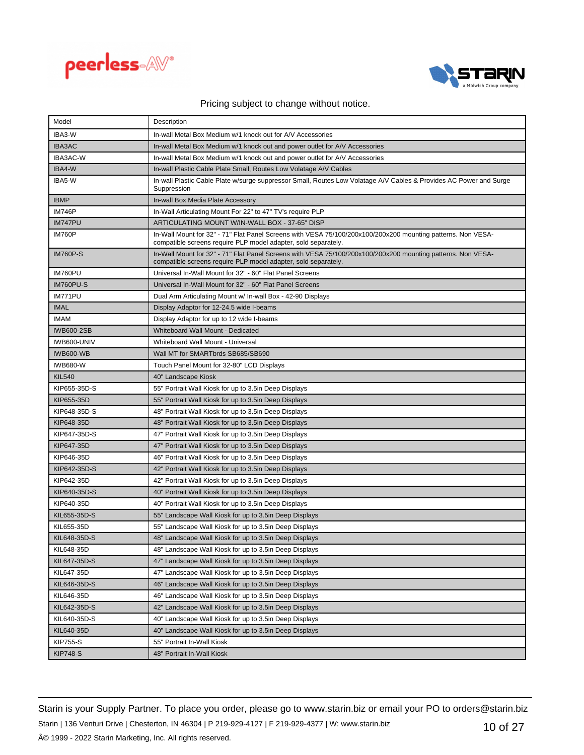



| Model            | Description                                                                                                                                                                    |
|------------------|--------------------------------------------------------------------------------------------------------------------------------------------------------------------------------|
| IBA3-W           | In-wall Metal Box Medium w/1 knock out for A/V Accessories                                                                                                                     |
| <b>IBA3AC</b>    | In-wall Metal Box Medium w/1 knock out and power outlet for A/V Accessories                                                                                                    |
| IBA3AC-W         | In-wall Metal Box Medium w/1 knock out and power outlet for A/V Accessories                                                                                                    |
| IBA4-W           | In-wall Plastic Cable Plate Small, Routes Low Volatage A/V Cables                                                                                                              |
| IBA5-W           | In-wall Plastic Cable Plate w/surge suppressor Small, Routes Low Volatage A/V Cables & Provides AC Power and Surge<br>Suppression                                              |
| <b>IBMP</b>      | In-wall Box Media Plate Accessory                                                                                                                                              |
| <b>IM746P</b>    | In-Wall Articulating Mount For 22" to 47" TV's require PLP                                                                                                                     |
| <b>IM747PU</b>   | ARTICULATING MOUNT W/IN-WALL BOX - 37-65" DISP                                                                                                                                 |
| <b>IM760P</b>    | In-Wall Mount for 32" - 71" Flat Panel Screens with VESA 75/100/200x100/200x200 mounting patterns. Non VESA-<br>compatible screens require PLP model adapter, sold separately. |
| <b>IM760P-S</b>  | In-Wall Mount for 32" - 71" Flat Panel Screens with VESA 75/100/200x100/200x200 mounting patterns. Non VESA-<br>compatible screens require PLP model adapter, sold separately. |
| IM760PU          | Universal In-Wall Mount for 32" - 60" Flat Panel Screens                                                                                                                       |
| <b>IM760PU-S</b> | Universal In-Wall Mount for 32" - 60" Flat Panel Screens                                                                                                                       |
| IM771PU          | Dual Arm Articulating Mount w/ In-wall Box - 42-90 Displays                                                                                                                    |
| <b>IMAL</b>      | Display Adaptor for 12-24.5 wide I-beams                                                                                                                                       |
| <b>IMAM</b>      | Display Adaptor for up to 12 wide I-beams                                                                                                                                      |
| IWB600-2SB       | Whiteboard Wall Mount - Dedicated                                                                                                                                              |
| IWB600-UNIV      | Whiteboard Wall Mount - Universal                                                                                                                                              |
| <b>IWB600-WB</b> | Wall MT for SMARTbrds SB685/SB690                                                                                                                                              |
| <b>IWB680-W</b>  | Touch Panel Mount for 32-80" LCD Displays                                                                                                                                      |
| <b>KIL540</b>    | 40" Landscape Kiosk                                                                                                                                                            |
| KIP655-35D-S     | 55" Portrait Wall Kiosk for up to 3.5in Deep Displays                                                                                                                          |
| KIP655-35D       | 55" Portrait Wall Kiosk for up to 3.5in Deep Displays                                                                                                                          |
| KIP648-35D-S     | 48" Portrait Wall Kiosk for up to 3.5in Deep Displays                                                                                                                          |
| KIP648-35D       | 48" Portrait Wall Kiosk for up to 3.5in Deep Displays                                                                                                                          |
| KIP647-35D-S     | 47" Portrait Wall Kiosk for up to 3.5in Deep Displays                                                                                                                          |
| KIP647-35D       | 47" Portrait Wall Kiosk for up to 3.5in Deep Displays                                                                                                                          |
| KIP646-35D       | 46" Portrait Wall Kiosk for up to 3.5in Deep Displays                                                                                                                          |
| KIP642-35D-S     | 42" Portrait Wall Kiosk for up to 3.5in Deep Displays                                                                                                                          |
| KIP642-35D       | 42" Portrait Wall Kiosk for up to 3.5in Deep Displays                                                                                                                          |
| KIP640-35D-S     | 40" Portrait Wall Kiosk for up to 3.5in Deep Displays                                                                                                                          |
| KIP640-35D       | 40" Portrait Wall Kiosk for up to 3.5in Deep Displays                                                                                                                          |
| KIL655-35D-S     | 55" Landscape Wall Kiosk for up to 3.5in Deep Displays                                                                                                                         |
| KIL655-35D       | 55" Landscape Wall Kiosk for up to 3.5in Deep Displays                                                                                                                         |
| KIL648-35D-S     | 48" Landscape Wall Kiosk for up to 3.5in Deep Displays                                                                                                                         |
| KIL648-35D       | 48" Landscape Wall Kiosk for up to 3.5in Deep Displays                                                                                                                         |
| KIL647-35D-S     | 47" Landscape Wall Kiosk for up to 3.5in Deep Displays                                                                                                                         |
| KIL647-35D       | 47" Landscape Wall Kiosk for up to 3.5in Deep Displays                                                                                                                         |
| KIL646-35D-S     | 46" Landscape Wall Kiosk for up to 3.5in Deep Displays                                                                                                                         |
| KIL646-35D       | 46" Landscape Wall Kiosk for up to 3.5in Deep Displays                                                                                                                         |
| KIL642-35D-S     | 42" Landscape Wall Kiosk for up to 3.5in Deep Displays                                                                                                                         |
| KIL640-35D-S     | 40" Landscape Wall Kiosk for up to 3.5in Deep Displays                                                                                                                         |
| KIL640-35D       | 40" Landscape Wall Kiosk for up to 3.5in Deep Displays                                                                                                                         |
| <b>KIP755-S</b>  | 55" Portrait In-Wall Kiosk                                                                                                                                                     |
| <b>KIP748-S</b>  | 48" Portrait In-Wall Kiosk                                                                                                                                                     |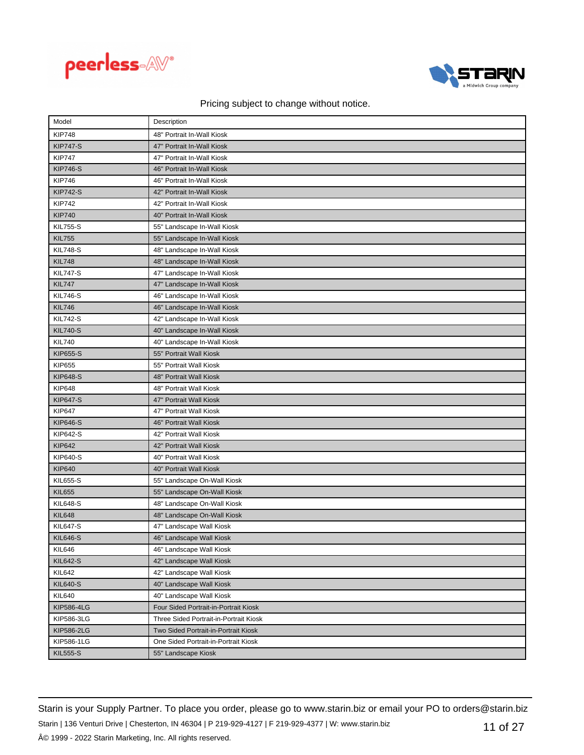



| Model             | Description                            |
|-------------------|----------------------------------------|
| <b>KIP748</b>     | 48" Portrait In-Wall Kiosk             |
| <b>KIP747-S</b>   | 47" Portrait In-Wall Kiosk             |
| <b>KIP747</b>     | 47" Portrait In-Wall Kiosk             |
| <b>KIP746-S</b>   | 46" Portrait In-Wall Kiosk             |
| <b>KIP746</b>     | 46" Portrait In-Wall Kiosk             |
| <b>KIP742-S</b>   | 42" Portrait In-Wall Kiosk             |
| <b>KIP742</b>     | 42" Portrait In-Wall Kiosk             |
| <b>KIP740</b>     | 40" Portrait In-Wall Kiosk             |
| <b>KIL755-S</b>   | 55" Landscape In-Wall Kiosk            |
| <b>KIL755</b>     | 55" Landscape In-Wall Kiosk            |
| <b>KIL748-S</b>   | 48" Landscape In-Wall Kiosk            |
| <b>KIL748</b>     | 48" Landscape In-Wall Kiosk            |
| <b>KIL747-S</b>   | 47" Landscape In-Wall Kiosk            |
| <b>KIL747</b>     | 47" Landscape In-Wall Kiosk            |
| <b>KIL746-S</b>   | 46" Landscape In-Wall Kiosk            |
| <b>KIL746</b>     | 46" Landscape In-Wall Kiosk            |
| <b>KIL742-S</b>   | 42" Landscape In-Wall Kiosk            |
| <b>KIL740-S</b>   | 40" Landscape In-Wall Kiosk            |
| <b>KIL740</b>     | 40" Landscape In-Wall Kiosk            |
| <b>KIP655-S</b>   | 55" Portrait Wall Kiosk                |
| <b>KIP655</b>     | 55" Portrait Wall Kiosk                |
| <b>KIP648-S</b>   | 48" Portrait Wall Kiosk                |
| <b>KIP648</b>     | 48" Portrait Wall Kiosk                |
| <b>KIP647-S</b>   | 47" Portrait Wall Kiosk                |
| <b>KIP647</b>     | 47" Portrait Wall Kiosk                |
| <b>KIP646-S</b>   | 46" Portrait Wall Kiosk                |
| <b>KIP642-S</b>   | 42" Portrait Wall Kiosk                |
| <b>KIP642</b>     | 42" Portrait Wall Kiosk                |
| KIP640-S          | 40" Portrait Wall Kiosk                |
| <b>KIP640</b>     | 40" Portrait Wall Kiosk                |
| <b>KIL655-S</b>   | 55" Landscape On-Wall Kiosk            |
| <b>KIL655</b>     | 55" Landscape On-Wall Kiosk            |
| <b>KIL648-S</b>   | 48" Landscape On-Wall Kiosk            |
| <b>KIL648</b>     | 48" Landscape On-Wall Kiosk            |
| <b>KIL647-S</b>   | 47" Landscape Wall Kiosk               |
| <b>KIL646-S</b>   | 46" Landscape Wall Kiosk               |
| <b>KIL646</b>     | 46" Landscape Wall Kiosk               |
| <b>KIL642-S</b>   | 42" Landscape Wall Kiosk               |
| <b>KIL642</b>     | 42" Landscape Wall Kiosk               |
| <b>KIL640-S</b>   | 40" Landscape Wall Kiosk               |
| <b>KIL640</b>     | 40" Landscape Wall Kiosk               |
| <b>KIP586-4LG</b> | Four Sided Portrait-in-Portrait Kiosk  |
| KIP586-3LG        | Three Sided Portrait-in-Portrait Kiosk |
| <b>KIP586-2LG</b> | Two Sided Portrait-in-Portrait Kiosk   |
| KIP586-1LG        | One Sided Portrait-in-Portrait Kiosk   |
| <b>KIL555-S</b>   | 55" Landscape Kiosk                    |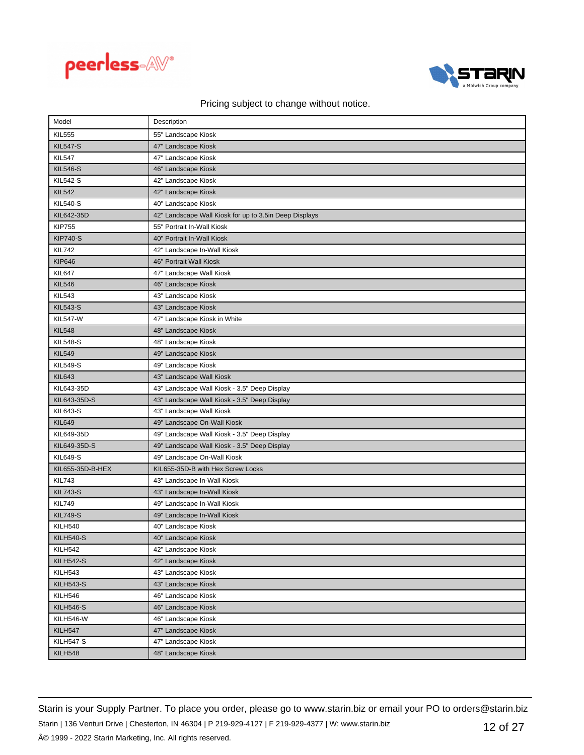



| Model            | Description                                            |
|------------------|--------------------------------------------------------|
| <b>KIL555</b>    | 55" Landscape Kiosk                                    |
| <b>KIL547-S</b>  | 47" Landscape Kiosk                                    |
| <b>KIL547</b>    | 47" Landscape Kiosk                                    |
| <b>KIL546-S</b>  | 46" Landscape Kiosk                                    |
| <b>KIL542-S</b>  | 42" Landscape Kiosk                                    |
| <b>KIL542</b>    | 42" Landscape Kiosk                                    |
| <b>KIL540-S</b>  | 40" Landscape Kiosk                                    |
| KIL642-35D       | 42" Landscape Wall Kiosk for up to 3.5in Deep Displays |
| <b>KIP755</b>    | 55" Portrait In-Wall Kiosk                             |
| <b>KIP740-S</b>  | 40" Portrait In-Wall Kiosk                             |
| <b>KIL742</b>    | 42" Landscape In-Wall Kiosk                            |
| <b>KIP646</b>    | 46" Portrait Wall Kiosk                                |
| <b>KIL647</b>    | 47" Landscape Wall Kiosk                               |
| <b>KIL546</b>    | 46" Landscape Kiosk                                    |
| <b>KIL543</b>    | 43" Landscape Kiosk                                    |
| <b>KIL543-S</b>  | 43" Landscape Kiosk                                    |
| <b>KIL547-W</b>  | 47" Landscape Kiosk in White                           |
| <b>KIL548</b>    | 48" Landscape Kiosk                                    |
| <b>KIL548-S</b>  | 48" Landscape Kiosk                                    |
| <b>KIL549</b>    | 49" Landscape Kiosk                                    |
| <b>KIL549-S</b>  | 49" Landscape Kiosk                                    |
| <b>KIL643</b>    | 43" Landscape Wall Kiosk                               |
| KIL643-35D       | 43" Landscape Wall Kiosk - 3.5" Deep Display           |
| KIL643-35D-S     | 43" Landscape Wall Kiosk - 3.5" Deep Display           |
| <b>KIL643-S</b>  | 43" Landscape Wall Kiosk                               |
| <b>KIL649</b>    | 49" Landscape On-Wall Kiosk                            |
| KIL649-35D       | 49" Landscape Wall Kiosk - 3.5" Deep Display           |
| KIL649-35D-S     | 49" Landscape Wall Kiosk - 3.5" Deep Display           |
| <b>KIL649-S</b>  | 49" Landscape On-Wall Kiosk                            |
| KIL655-35D-B-HEX | KIL655-35D-B with Hex Screw Locks                      |
| <b>KIL743</b>    | 43" Landscape In-Wall Kiosk                            |
| <b>KIL743-S</b>  | 43" Landscape In-Wall Kiosk                            |
| <b>KIL749</b>    | 49" Landscape In-Wall Kiosk                            |
| <b>KIL749-S</b>  | 49" Landscape In-Wall Kiosk                            |
| <b>KILH540</b>   | 40" Landscape Kiosk                                    |
| <b>KILH540-S</b> | 40" Landscape Kiosk                                    |
| <b>KILH542</b>   | 42" Landscape Kiosk                                    |
| <b>KILH542-S</b> | 42" Landscape Kiosk                                    |
| KILH543          | 43" Landscape Kiosk                                    |
| <b>KILH543-S</b> | 43" Landscape Kiosk                                    |
| <b>KILH546</b>   | 46" Landscape Kiosk                                    |
| <b>KILH546-S</b> | 46" Landscape Kiosk                                    |
| KILH546-W        | 46" Landscape Kiosk                                    |
| <b>KILH547</b>   | 47" Landscape Kiosk                                    |
| <b>KILH547-S</b> | 47" Landscape Kiosk                                    |
| <b>KILH548</b>   | 48" Landscape Kiosk                                    |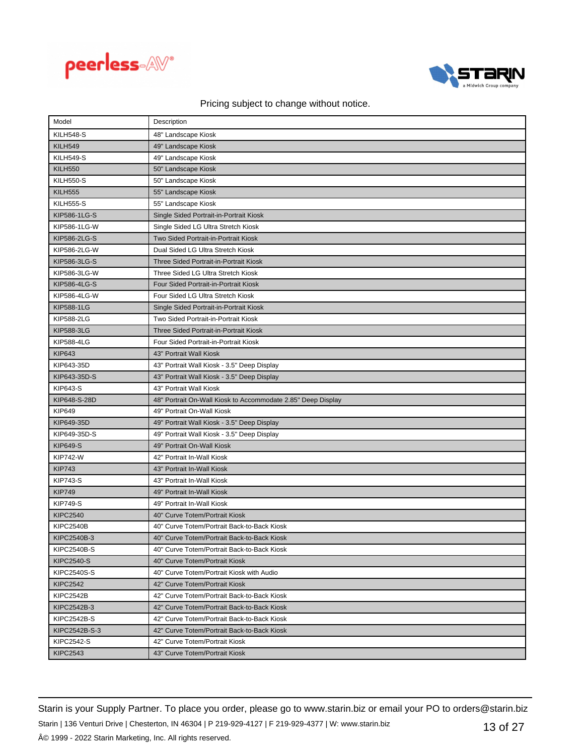



| Model              | Description                                                  |
|--------------------|--------------------------------------------------------------|
| <b>KILH548-S</b>   | 48" Landscape Kiosk                                          |
| <b>KILH549</b>     | 49" Landscape Kiosk                                          |
| <b>KILH549-S</b>   | 49" Landscape Kiosk                                          |
| <b>KILH550</b>     | 50" Landscape Kiosk                                          |
| <b>KILH550-S</b>   | 50" Landscape Kiosk                                          |
| <b>KILH555</b>     | 55" Landscape Kiosk                                          |
| <b>KILH555-S</b>   | 55" Landscape Kiosk                                          |
| KIP586-1LG-S       | Single Sided Portrait-in-Portrait Kiosk                      |
| KIP586-1LG-W       | Single Sided LG Ultra Stretch Kiosk                          |
| KIP586-2LG-S       | Two Sided Portrait-in-Portrait Kiosk                         |
| KIP586-2LG-W       | Dual Sided LG Ultra Stretch Kiosk                            |
| KIP586-3LG-S       | Three Sided Portrait-in-Portrait Kiosk                       |
| KIP586-3LG-W       | Three Sided LG Ultra Stretch Kiosk                           |
| KIP586-4LG-S       | Four Sided Portrait-in-Portrait Kiosk                        |
| KIP586-4LG-W       | Four Sided LG Ultra Stretch Kiosk                            |
| <b>KIP588-1LG</b>  | Single Sided Portrait-in-Portrait Kiosk                      |
| <b>KIP588-2LG</b>  | Two Sided Portrait-in-Portrait Kiosk                         |
| <b>KIP588-3LG</b>  | Three Sided Portrait-in-Portrait Kiosk                       |
| <b>KIP588-4LG</b>  | Four Sided Portrait-in-Portrait Kiosk                        |
| <b>KIP643</b>      | 43" Portrait Wall Kiosk                                      |
| KIP643-35D         | 43" Portrait Wall Kiosk - 3.5" Deep Display                  |
| KIP643-35D-S       | 43" Portrait Wall Kiosk - 3.5" Deep Display                  |
| KIP643-S           | 43" Portrait Wall Kiosk                                      |
| KIP648-S-28D       | 48" Portrait On-Wall Kiosk to Accommodate 2.85" Deep Display |
| <b>KIP649</b>      | 49" Portrait On-Wall Kiosk                                   |
| KIP649-35D         | 49" Portrait Wall Kiosk - 3.5" Deep Display                  |
| KIP649-35D-S       | 49" Portrait Wall Kiosk - 3.5" Deep Display                  |
| <b>KIP649-S</b>    | 49" Portrait On-Wall Kiosk                                   |
| <b>KIP742-W</b>    | 42" Portrait In-Wall Kiosk                                   |
| <b>KIP743</b>      | 43" Portrait In-Wall Kiosk                                   |
| <b>KIP743-S</b>    | 43" Portrait In-Wall Kiosk                                   |
| <b>KIP749</b>      | 49" Portrait In-Wall Kiosk                                   |
| <b>KIP749-S</b>    | 49" Portrait In-Wall Kiosk                                   |
| <b>KIPC2540</b>    | 40" Curve Totem/Portrait Kiosk                               |
| <b>KIPC2540B</b>   | 40" Curve Totem/Portrait Back-to-Back Kiosk                  |
| KIPC2540B-3        | 40" Curve Totem/Portrait Back-to-Back Kiosk                  |
| <b>KIPC2540B-S</b> | 40" Curve Totem/Portrait Back-to-Back Kiosk                  |
| <b>KIPC2540-S</b>  | 40" Curve Totem/Portrait Kiosk                               |
| <b>KIPC2540S-S</b> | 40" Curve Totem/Portrait Kiosk with Audio                    |
| <b>KIPC2542</b>    | 42" Curve Totem/Portrait Kiosk                               |
| KIPC2542B          | 42" Curve Totem/Portrait Back-to-Back Kiosk                  |
| KIPC2542B-3        | 42" Curve Totem/Portrait Back-to-Back Kiosk                  |
| <b>KIPC2542B-S</b> | 42" Curve Totem/Portrait Back-to-Back Kiosk                  |
| KIPC2542B-S-3      | 42" Curve Totem/Portrait Back-to-Back Kiosk                  |
| <b>KIPC2542-S</b>  | 42" Curve Totem/Portrait Kiosk                               |
| <b>KIPC2543</b>    | 43" Curve Totem/Portrait Kiosk                               |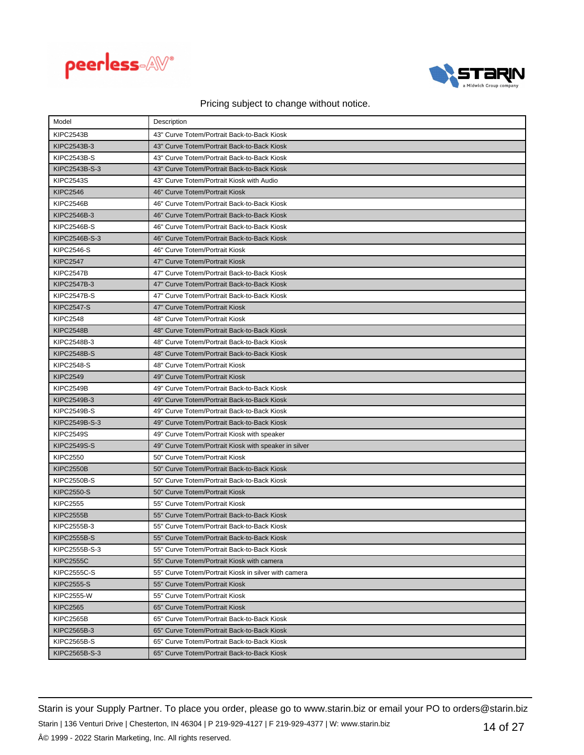



| Model              | Description                                           |
|--------------------|-------------------------------------------------------|
| KIPC2543B          | 43" Curve Totem/Portrait Back-to-Back Kiosk           |
| KIPC2543B-3        | 43" Curve Totem/Portrait Back-to-Back Kiosk           |
| <b>KIPC2543B-S</b> | 43" Curve Totem/Portrait Back-to-Back Kiosk           |
| KIPC2543B-S-3      | 43" Curve Totem/Portrait Back-to-Back Kiosk           |
| <b>KIPC2543S</b>   | 43" Curve Totem/Portrait Kiosk with Audio             |
| <b>KIPC2546</b>    | 46" Curve Totem/Portrait Kiosk                        |
| KIPC2546B          | 46" Curve Totem/Portrait Back-to-Back Kiosk           |
| KIPC2546B-3        | 46" Curve Totem/Portrait Back-to-Back Kiosk           |
| <b>KIPC2546B-S</b> | 46" Curve Totem/Portrait Back-to-Back Kiosk           |
| KIPC2546B-S-3      | 46" Curve Totem/Portrait Back-to-Back Kiosk           |
| <b>KIPC2546-S</b>  | 46" Curve Totem/Portrait Kiosk                        |
| <b>KIPC2547</b>    | 47" Curve Totem/Portrait Kiosk                        |
| KIPC2547B          | 47" Curve Totem/Portrait Back-to-Back Kiosk           |
| KIPC2547B-3        | 47" Curve Totem/Portrait Back-to-Back Kiosk           |
| <b>KIPC2547B-S</b> | 47" Curve Totem/Portrait Back-to-Back Kiosk           |
| <b>KIPC2547-S</b>  | 47" Curve Totem/Portrait Kiosk                        |
| <b>KIPC2548</b>    | 48" Curve Totem/Portrait Kiosk                        |
| <b>KIPC2548B</b>   | 48" Curve Totem/Portrait Back-to-Back Kiosk           |
| KIPC2548B-3        | 48" Curve Totem/Portrait Back-to-Back Kiosk           |
| <b>KIPC2548B-S</b> | 48" Curve Totem/Portrait Back-to-Back Kiosk           |
| <b>KIPC2548-S</b>  | 48" Curve Totem/Portrait Kiosk                        |
| <b>KIPC2549</b>    | 49" Curve Totem/Portrait Kiosk                        |
| KIPC2549B          | 49" Curve Totem/Portrait Back-to-Back Kiosk           |
| KIPC2549B-3        | 49" Curve Totem/Portrait Back-to-Back Kiosk           |
| <b>KIPC2549B-S</b> | 49" Curve Totem/Portrait Back-to-Back Kiosk           |
| KIPC2549B-S-3      | 49" Curve Totem/Portrait Back-to-Back Kiosk           |
| <b>KIPC2549S</b>   | 49" Curve Totem/Portrait Kiosk with speaker           |
| <b>KIPC2549S-S</b> | 49" Curve Totem/Portrait Kiosk with speaker in silver |
| <b>KIPC2550</b>    | 50" Curve Totem/Portrait Kiosk                        |
| <b>KIPC2550B</b>   | 50" Curve Totem/Portrait Back-to-Back Kiosk           |
| <b>KIPC2550B-S</b> | 50" Curve Totem/Portrait Back-to-Back Kiosk           |
| <b>KIPC2550-S</b>  | 50" Curve Totem/Portrait Kiosk                        |
| <b>KIPC2555</b>    | 55" Curve Totem/Portrait Kiosk                        |
| <b>KIPC2555B</b>   | 55" Curve Totem/Portrait Back-to-Back Kiosk           |
| KIPC2555B-3        | 55" Curve Totem/Portrait Back-to-Back Kiosk           |
| <b>KIPC2555B-S</b> | 55" Curve Totem/Portrait Back-to-Back Kiosk           |
| KIPC2555B-S-3      | 55" Curve Totem/Portrait Back-to-Back Kiosk           |
| <b>KIPC2555C</b>   | 55" Curve Totem/Portrait Kiosk with camera            |
| <b>KIPC2555C-S</b> | 55" Curve Totem/Portrait Kiosk in silver with camera  |
| <b>KIPC2555-S</b>  | 55" Curve Totem/Portrait Kiosk                        |
| <b>KIPC2555-W</b>  | 55" Curve Totem/Portrait Kiosk                        |
| <b>KIPC2565</b>    | 65" Curve Totem/Portrait Kiosk                        |
| KIPC2565B          | 65" Curve Totem/Portrait Back-to-Back Kiosk           |
| KIPC2565B-3        | 65" Curve Totem/Portrait Back-to-Back Kiosk           |
| <b>KIPC2565B-S</b> | 65" Curve Totem/Portrait Back-to-Back Kiosk           |
| KIPC2565B-S-3      | 65" Curve Totem/Portrait Back-to-Back Kiosk           |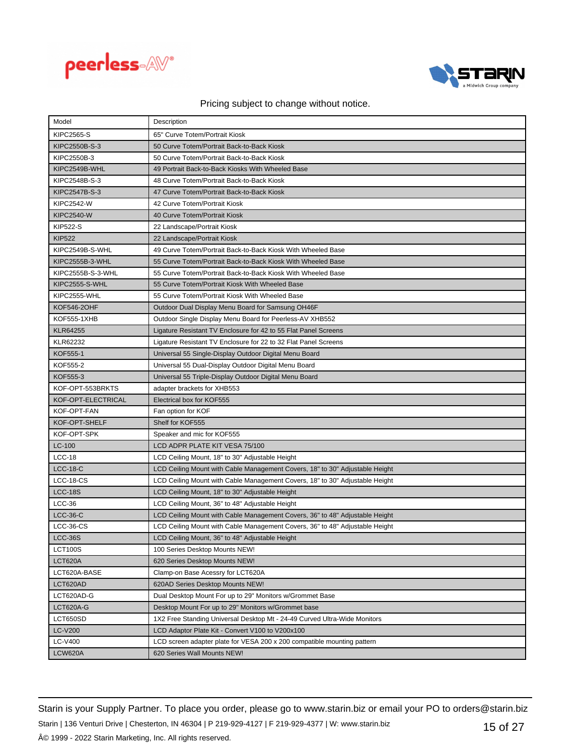



| Model              | Description                                                                  |
|--------------------|------------------------------------------------------------------------------|
| <b>KIPC2565-S</b>  | 65" Curve Totem/Portrait Kiosk                                               |
| KIPC2550B-S-3      | 50 Curve Totem/Portrait Back-to-Back Kiosk                                   |
| KIPC2550B-3        | 50 Curve Totem/Portrait Back-to-Back Kiosk                                   |
| KIPC2549B-WHL      | 49 Portrait Back-to-Back Kiosks With Wheeled Base                            |
| KIPC2548B-S-3      | 48 Curve Totem/Portrait Back-to-Back Kiosk                                   |
| KIPC2547B-S-3      | 47 Curve Totem/Portrait Back-to-Back Kiosk                                   |
| <b>KIPC2542-W</b>  | 42 Curve Totem/Portrait Kiosk                                                |
| <b>KIPC2540-W</b>  | 40 Curve Totem/Portrait Kiosk                                                |
| <b>KIP522-S</b>    | 22 Landscape/Portrait Kiosk                                                  |
| <b>KIP522</b>      | 22 Landscape/Portrait Kiosk                                                  |
| KIPC2549B-S-WHL    | 49 Curve Totem/Portrait Back-to-Back Kiosk With Wheeled Base                 |
| KIPC2555B-3-WHL    | 55 Curve Totem/Portrait Back-to-Back Kiosk With Wheeled Base                 |
| KIPC2555B-S-3-WHL  | 55 Curve Totem/Portrait Back-to-Back Kiosk With Wheeled Base                 |
| KIPC2555-S-WHL     | 55 Curve Totem/Portrait Kiosk With Wheeled Base                              |
| KIPC2555-WHL       | 55 Curve Totem/Portrait Kiosk With Wheeled Base                              |
| <b>KOF546-2OHF</b> | Outdoor Dual Display Menu Board for Samsung OH46F                            |
| <b>KOF555-1XHB</b> | Outdoor Single Display Menu Board for Peerless-AV XHB552                     |
| <b>KLR64255</b>    | Ligature Resistant TV Enclosure for 42 to 55 Flat Panel Screens              |
| KLR62232           | Ligature Resistant TV Enclosure for 22 to 32 Flat Panel Screens              |
| KOF555-1           | Universal 55 Single-Display Outdoor Digital Menu Board                       |
| KOF555-2           | Universal 55 Dual-Display Outdoor Digital Menu Board                         |
| KOF555-3           | Universal 55 Triple-Display Outdoor Digital Menu Board                       |
| KOF-OPT-553BRKTS   | adapter brackets for XHB553                                                  |
| KOF-OPT-ELECTRICAL | Electrical box for KOF555                                                    |
| KOF-OPT-FAN        | Fan option for KOF                                                           |
| KOF-OPT-SHELF      | Shelf for KOF555                                                             |
| KOF-OPT-SPK        | Speaker and mic for KOF555                                                   |
| $LC-100$           | LCD ADPR PLATE KIT VESA 75/100                                               |
| $LCC-18$           | LCD Ceiling Mount, 18" to 30" Adjustable Height                              |
| $LCC-18-C$         | LCD Ceiling Mount with Cable Management Covers, 18" to 30" Adjustable Height |
| LCC-18-CS          | LCD Ceiling Mount with Cable Management Covers, 18" to 30" Adjustable Height |
| <b>LCC-18S</b>     | LCD Ceiling Mount, 18" to 30" Adjustable Height                              |
| $LCC-36$           | LCD Ceiling Mount, 36" to 48" Adjustable Height                              |
| $LCC-36-C$         | LCD Ceiling Mount with Cable Management Covers, 36" to 48" Adjustable Height |
| $LCC-36-CS$        | LCD Ceiling Mount with Cable Management Covers, 36" to 48" Adjustable Height |
| <b>LCC-36S</b>     | LCD Ceiling Mount, 36" to 48" Adjustable Height                              |
| <b>LCT100S</b>     | 100 Series Desktop Mounts NEW!                                               |
| LCT620A            | 620 Series Desktop Mounts NEW!                                               |
| LCT620A-BASE       | Clamp-on Base Acessry for LCT620A                                            |
| LCT620AD           | 620AD Series Desktop Mounts NEW!                                             |
| LCT620AD-G         | Dual Desktop Mount For up to 29" Monitors w/Grommet Base                     |
| LCT620A-G          | Desktop Mount For up to 29" Monitors w/Grommet base                          |
| LCT650SD           | 1X2 Free Standing Universal Desktop Mt - 24-49 Curved Ultra-Wide Monitors    |
| <b>LC-V200</b>     | LCD Adaptor Plate Kit - Convert V100 to V200x100                             |
| <b>LC-V400</b>     | LCD screen adapter plate for VESA 200 x 200 compatible mounting pattern      |
| <b>LCW620A</b>     | 620 Series Wall Mounts NEW!                                                  |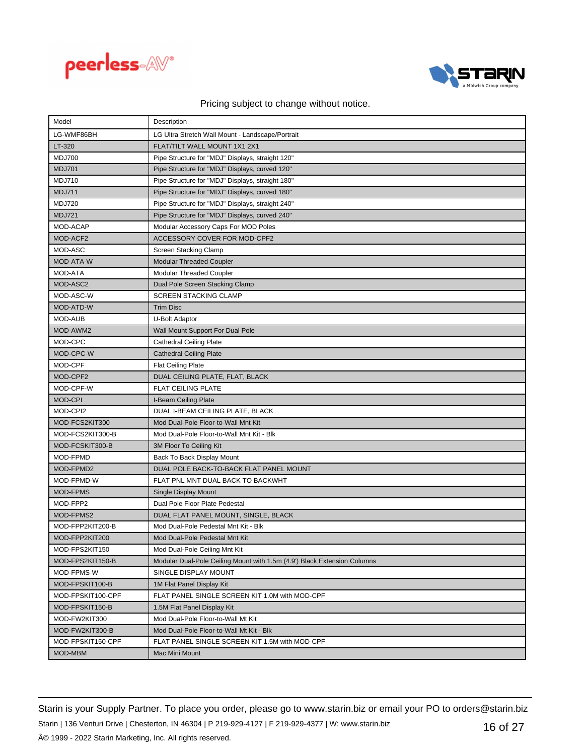



| Model             | Description                                                              |
|-------------------|--------------------------------------------------------------------------|
| LG-WMF86BH        | LG Ultra Stretch Wall Mount - Landscape/Portrait                         |
| LT-320            | FLAT/TILT WALL MOUNT 1X1 2X1                                             |
| <b>MDJ700</b>     | Pipe Structure for "MDJ" Displays, straight 120"                         |
| <b>MDJ701</b>     | Pipe Structure for "MDJ" Displays, curved 120"                           |
| <b>MDJ710</b>     | Pipe Structure for "MDJ" Displays, straight 180"                         |
| <b>MDJ711</b>     | Pipe Structure for "MDJ" Displays, curved 180"                           |
| <b>MDJ720</b>     | Pipe Structure for "MDJ" Displays, straight 240"                         |
| <b>MDJ721</b>     | Pipe Structure for "MDJ" Displays, curved 240"                           |
| MOD-ACAP          | Modular Accessory Caps For MOD Poles                                     |
| MOD-ACF2          | ACCESSORY COVER FOR MOD-CPF2                                             |
| MOD-ASC           | Screen Stacking Clamp                                                    |
| MOD-ATA-W         | <b>Modular Threaded Coupler</b>                                          |
| <b>MOD-ATA</b>    | <b>Modular Threaded Coupler</b>                                          |
| MOD-ASC2          | Dual Pole Screen Stacking Clamp                                          |
| MOD-ASC-W         | <b>SCREEN STACKING CLAMP</b>                                             |
| MOD-ATD-W         | <b>Trim Disc</b>                                                         |
| <b>MOD-AUB</b>    | U-Bolt Adaptor                                                           |
| MOD-AWM2          | Wall Mount Support For Dual Pole                                         |
| MOD-CPC           | <b>Cathedral Ceiling Plate</b>                                           |
| MOD-CPC-W         | <b>Cathedral Ceiling Plate</b>                                           |
| MOD-CPF           | <b>Flat Ceiling Plate</b>                                                |
| MOD-CPF2          | DUAL CEILING PLATE, FLAT, BLACK                                          |
| MOD-CPF-W         | <b>FLAT CEILING PLATE</b>                                                |
| <b>MOD-CPI</b>    | I-Beam Ceiling Plate                                                     |
| MOD-CPI2          | DUAL I-BEAM CEILING PLATE, BLACK                                         |
| MOD-FCS2KIT300    | Mod Dual-Pole Floor-to-Wall Mnt Kit                                      |
| MOD-FCS2KIT300-B  | Mod Dual-Pole Floor-to-Wall Mnt Kit - Blk                                |
| MOD-FCSKIT300-B   | 3M Floor To Ceiling Kit                                                  |
| MOD-FPMD          | Back To Back Display Mount                                               |
| MOD-FPMD2         | DUAL POLE BACK-TO-BACK FLAT PANEL MOUNT                                  |
| MOD-FPMD-W        | FLAT PNL MNT DUAL BACK TO BACKWHT                                        |
| MOD-FPMS          | Single Display Mount                                                     |
| MOD-FPP2          | Dual Pole Floor Plate Pedestal                                           |
| MOD-FPMS2         | DUAL FLAT PANEL MOUNT, SINGLE, BLACK                                     |
| MOD-FPP2KIT200-B  | Mod Dual-Pole Pedestal Mnt Kit - Blk                                     |
| MOD-FPP2KIT200    | Mod Dual-Pole Pedestal Mnt Kit                                           |
| MOD-FPS2KIT150    | Mod Dual-Pole Ceiling Mnt Kit                                            |
| MOD-FPS2KIT150-B  | Modular Dual-Pole Ceiling Mount with 1.5m (4.9') Black Extension Columns |
| MOD-FPMS-W        | SINGLE DISPLAY MOUNT                                                     |
| MOD-FPSKIT100-B   | 1M Flat Panel Display Kit                                                |
| MOD-FPSKIT100-CPF | FLAT PANEL SINGLE SCREEN KIT 1.0M with MOD-CPF                           |
| MOD-FPSKIT150-B   | 1.5M Flat Panel Display Kit                                              |
| MOD-FW2KIT300     | Mod Dual-Pole Floor-to-Wall Mt Kit                                       |
| MOD-FW2KIT300-B   | Mod Dual-Pole Floor-to-Wall Mt Kit - Blk                                 |
| MOD-FPSKIT150-CPF | FLAT PANEL SINGLE SCREEN KIT 1.5M with MOD-CPF                           |
| MOD-MBM           | Mac Mini Mount                                                           |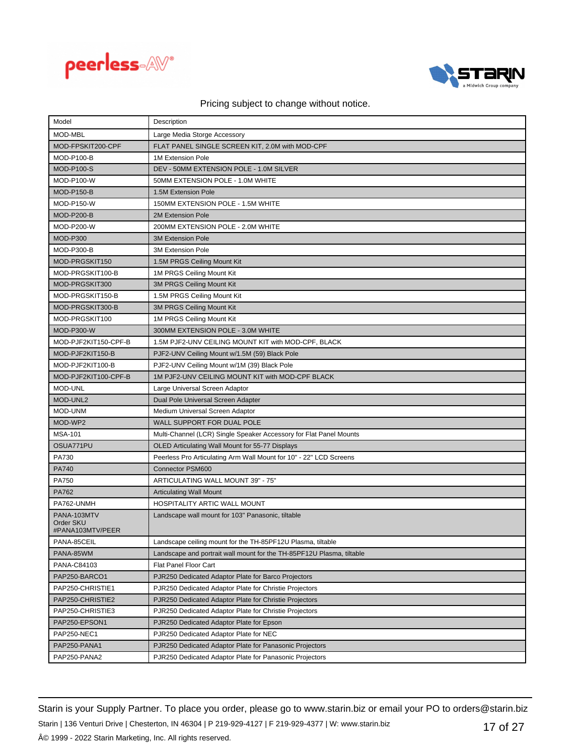



| Model                         | Description                                                           |
|-------------------------------|-----------------------------------------------------------------------|
| MOD-MBL                       | Large Media Storge Accessory                                          |
| MOD-FPSKIT200-CPF             | FLAT PANEL SINGLE SCREEN KIT, 2.0M with MOD-CPF                       |
| MOD-P100-B                    | 1M Extension Pole                                                     |
| <b>MOD-P100-S</b>             | DEV - 50MM EXTENSION POLE - 1.0M SILVER                               |
| MOD-P100-W                    | 50MM EXTENSION POLE - 1.0M WHITE                                      |
| <b>MOD-P150-B</b>             | 1.5M Extension Pole                                                   |
| <b>MOD-P150-W</b>             | 150MM EXTENSION POLE - 1.5M WHITE                                     |
| <b>MOD-P200-B</b>             | 2M Extension Pole                                                     |
| <b>MOD-P200-W</b>             | 200MM EXTENSION POLE - 2.0M WHITE                                     |
| <b>MOD-P300</b>               | <b>3M Extension Pole</b>                                              |
| MOD-P300-B                    | <b>3M Extension Pole</b>                                              |
| MOD-PRGSKIT150                | 1.5M PRGS Ceiling Mount Kit                                           |
| MOD-PRGSKIT100-B              | 1M PRGS Ceiling Mount Kit                                             |
| MOD-PRGSKIT300                | 3M PRGS Ceiling Mount Kit                                             |
| MOD-PRGSKIT150-B              | 1.5M PRGS Ceiling Mount Kit                                           |
| MOD-PRGSKIT300-B              | 3M PRGS Ceiling Mount Kit                                             |
| MOD-PRGSKIT100                | 1M PRGS Ceiling Mount Kit                                             |
| <b>MOD-P300-W</b>             | 300MM EXTENSION POLE - 3.0M WHITE                                     |
| MOD-PJF2KIT150-CPF-B          | 1.5M PJF2-UNV CEILING MOUNT KIT with MOD-CPF, BLACK                   |
| MOD-PJF2KIT150-B              | PJF2-UNV Ceiling Mount w/1.5M (59) Black Pole                         |
| MOD-PJF2KIT100-B              | PJF2-UNV Ceiling Mount w/1M (39) Black Pole                           |
| MOD-PJF2KIT100-CPF-B          | 1M PJF2-UNV CEILING MOUNT KIT with MOD-CPF BLACK                      |
| <b>MOD-UNL</b>                | Large Universal Screen Adaptor                                        |
| MOD-UNL2                      | Dual Pole Universal Screen Adapter                                    |
| MOD-UNM                       | Medium Universal Screen Adaptor                                       |
| MOD-WP2                       | WALL SUPPORT FOR DUAL POLE                                            |
| <b>MSA-101</b>                | Multi-Channel (LCR) Single Speaker Accessory for Flat Panel Mounts    |
| OSUA771PU                     | OLED Articulating Wall Mount for 55-77 Displays                       |
| PA730                         | Peerless Pro Articulating Arm Wall Mount for 10" - 22" LCD Screens    |
| PA740                         | Connector PSM600                                                      |
| PA750                         | ARTICULATING WALL MOUNT 39" - 75"                                     |
| PA762                         | <b>Articulating Wall Mount</b>                                        |
| PA762-UNMH                    | <b>HOSPITALITY ARTIC WALL MOUNT</b>                                   |
| PANA-103MTV                   | Landscape wall mount for 103" Panasonic, tiltable                     |
| Order SKU<br>#PANA103MTV/PEER |                                                                       |
| PANA-85CEIL                   | Landscape ceiling mount for the TH-85PF12U Plasma, tiltable           |
| PANA-85WM                     | Landscape and portrait wall mount for the TH-85PF12U Plasma, tiltable |
| PANA-C84103                   | Flat Panel Floor Cart                                                 |
| PAP250-BARCO1                 | PJR250 Dedicated Adaptor Plate for Barco Projectors                   |
| PAP250-CHRISTIE1              | PJR250 Dedicated Adaptor Plate for Christie Projectors                |
| PAP250-CHRISTIE2              | PJR250 Dedicated Adaptor Plate for Christie Projectors                |
| PAP250-CHRISTIE3              | PJR250 Dedicated Adaptor Plate for Christie Projectors                |
| PAP250-EPSON1                 | PJR250 Dedicated Adaptor Plate for Epson                              |
| PAP250-NEC1                   | PJR250 Dedicated Adaptor Plate for NEC                                |
| PAP250-PANA1                  | PJR250 Dedicated Adaptor Plate for Panasonic Projectors               |
| PAP250-PANA2                  | PJR250 Dedicated Adaptor Plate for Panasonic Projectors               |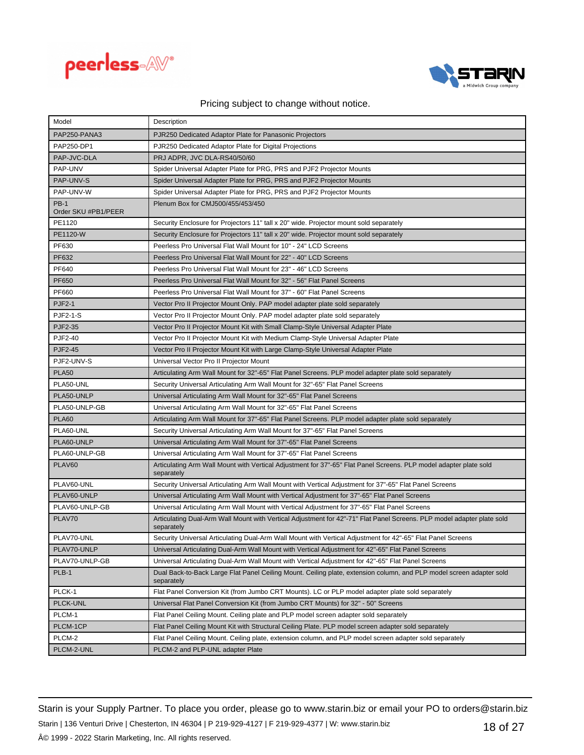



| Model                              | Description                                                                                                                          |
|------------------------------------|--------------------------------------------------------------------------------------------------------------------------------------|
| PAP250-PANA3                       | PJR250 Dedicated Adaptor Plate for Panasonic Projectors                                                                              |
| PAP250-DP1                         | PJR250 Dedicated Adaptor Plate for Digital Projections                                                                               |
| PAP-JVC-DLA                        | PRJ ADPR, JVC DLA-RS40/50/60                                                                                                         |
| PAP-UNV                            | Spider Universal Adapter Plate for PRG, PRS and PJF2 Projector Mounts                                                                |
| PAP-UNV-S                          | Spider Universal Adapter Plate for PRG, PRS and PJF2 Projector Mounts                                                                |
| PAP-UNV-W                          | Spider Universal Adapter Plate for PRG, PRS and PJF2 Projector Mounts                                                                |
| <b>PB-1</b><br>Order SKU #PB1/PEER | Plenum Box for CMJ500/455/453/450                                                                                                    |
| PE1120                             | Security Enclosure for Projectors 11" tall x 20" wide. Projector mount sold separately                                               |
| PE1120-W                           | Security Enclosure for Projectors 11" tall x 20" wide. Projector mount sold separately                                               |
| PF630                              | Peerless Pro Universal Flat Wall Mount for 10" - 24" LCD Screens                                                                     |
| PF632                              | Peerless Pro Universal Flat Wall Mount for 22" - 40" LCD Screens                                                                     |
| PF640                              | Peerless Pro Universal Flat Wall Mount for 23" - 46" LCD Screens                                                                     |
| PF650                              | Peerless Pro Universal Flat Wall Mount for 32" - 56" Flat Panel Screens                                                              |
| PF660                              | Peerless Pro Universal Flat Wall Mount for 37" - 60" Flat Panel Screens                                                              |
| <b>PJF2-1</b>                      | Vector Pro II Projector Mount Only. PAP model adapter plate sold separately                                                          |
| <b>PJF2-1-S</b>                    | Vector Pro II Projector Mount Only. PAP model adapter plate sold separately                                                          |
| PJF2-35                            | Vector Pro II Projector Mount Kit with Small Clamp-Style Universal Adapter Plate                                                     |
| PJF2-40                            | Vector Pro II Projector Mount Kit with Medium Clamp-Style Universal Adapter Plate                                                    |
| PJF2-45                            | Vector Pro II Projector Mount Kit with Large Clamp-Style Universal Adapter Plate                                                     |
| PJF2-UNV-S                         | Universal Vector Pro II Projector Mount                                                                                              |
| <b>PLA50</b>                       | Articulating Arm Wall Mount for 32"-65" Flat Panel Screens. PLP model adapter plate sold separately                                  |
| PLA50-UNL                          | Security Universal Articulating Arm Wall Mount for 32"-65" Flat Panel Screens                                                        |
| PLA50-UNLP                         | Universal Articulating Arm Wall Mount for 32"-65" Flat Panel Screens                                                                 |
| PLA50-UNLP-GB                      | Universal Articulating Arm Wall Mount for 32"-65" Flat Panel Screens                                                                 |
| <b>PLA60</b>                       | Articulating Arm Wall Mount for 37"-65" Flat Panel Screens. PLP model adapter plate sold separately                                  |
| PLA60-UNL                          | Security Universal Articulating Arm Wall Mount for 37"-65" Flat Panel Screens                                                        |
| PLA60-UNLP                         | Universal Articulating Arm Wall Mount for 37"-65" Flat Panel Screens                                                                 |
| PLA60-UNLP-GB                      | Universal Articulating Arm Wall Mount for 37"-65" Flat Panel Screens                                                                 |
| PLAV60                             | Articulating Arm Wall Mount with Vertical Adjustment for 37"-65" Flat Panel Screens. PLP model adapter plate sold<br>separately      |
| PLAV60-UNL                         | Security Universal Articulating Arm Wall Mount with Vertical Adjustment for 37"-65" Flat Panel Screens                               |
| PLAV60-UNLP                        | Universal Articulating Arm Wall Mount with Vertical Adjustment for 37"-65" Flat Panel Screens                                        |
| PLAV60-UNLP-GB                     | Universal Articulating Arm Wall Mount with Vertical Adjustment for 37"-65" Flat Panel Screens                                        |
| PLAV70                             | Articulating Dual-Arm Wall Mount with Vertical Adjustment for 42"-71" Flat Panel Screens. PLP model adapter plate sold<br>separately |
| PLAV70-UNL                         | Security Universal Articulating Dual-Arm Wall Mount with Vertical Adjustment for 42"-65" Flat Panel Screens                          |
| PLAV70-UNLP                        | Universal Articulating Dual-Arm Wall Mount with Vertical Adjustment for 42"-65" Flat Panel Screens                                   |
| PLAV70-UNLP-GB                     | Universal Articulating Dual-Arm Wall Mount with Vertical Adjustment for 42"-65" Flat Panel Screens                                   |
| PLB-1                              | Dual Back-to-Back Large Flat Panel Ceiling Mount. Ceiling plate, extension column, and PLP model screen adapter sold<br>separately   |
| PLCK-1                             | Flat Panel Conversion Kit (from Jumbo CRT Mounts). LC or PLP model adapter plate sold separately                                     |
| PLCK-UNL                           | Universal Flat Panel Conversion Kit (from Jumbo CRT Mounts) for 32" - 50" Screens                                                    |
| PLCM-1                             | Flat Panel Ceiling Mount. Ceiling plate and PLP model screen adapter sold separately                                                 |
| PLCM-1CP                           | Flat Panel Ceiling Mount Kit with Structural Ceiling Plate. PLP model screen adapter sold separately                                 |
| PLCM-2                             | Flat Panel Ceiling Mount. Ceiling plate, extension column, and PLP model screen adapter sold separately                              |
| PLCM-2-UNL                         | PLCM-2 and PLP-UNL adapter Plate                                                                                                     |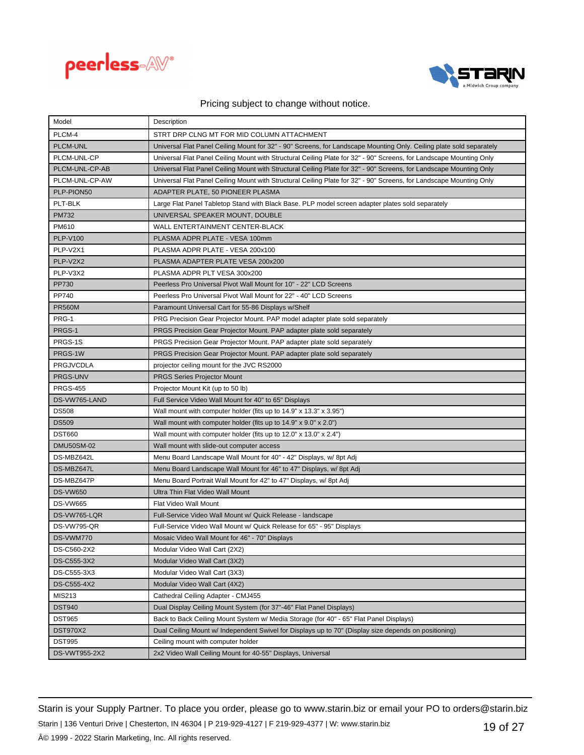



| Model             | Description                                                                                                          |
|-------------------|----------------------------------------------------------------------------------------------------------------------|
| PLCM-4            | STRT DRP CLNG MT FOR MID COLUMN ATTACHMENT                                                                           |
| PLCM-UNL          | Universal Flat Panel Ceiling Mount for 32" - 90" Screens, for Landscape Mounting Only. Ceiling plate sold separately |
| PLCM-UNL-CP       | Universal Flat Panel Ceiling Mount with Structural Ceiling Plate for 32" - 90" Screens, for Landscape Mounting Only  |
| PLCM-UNL-CP-AB    | Universal Flat Panel Ceiling Mount with Structural Ceiling Plate for 32" - 90" Screens, for Landscape Mounting Only  |
| PLCM-UNL-CP-AW    | Universal Flat Panel Ceiling Mount with Structural Ceiling Plate for 32" - 90" Screens, for Landscape Mounting Only  |
| PLP-PION50        | ADAPTER PLATE, 50 PIONEER PLASMA                                                                                     |
| PLT-BLK           | Large Flat Panel Tabletop Stand with Black Base. PLP model screen adapter plates sold separately                     |
| <b>PM732</b>      | UNIVERSAL SPEAKER MOUNT, DOUBLE                                                                                      |
| PM610             | WALL ENTERTAINMENT CENTER-BLACK                                                                                      |
| <b>PLP-V100</b>   | PLASMA ADPR PLATE - VESA 100mm                                                                                       |
| PLP-V2X1          | PLASMA ADPR PLATE - VESA 200x100                                                                                     |
| PLP-V2X2          | PLASMA ADAPTER PLATE VESA 200x200                                                                                    |
| PLP-V3X2          | PLASMA ADPR PLT VESA 300x200                                                                                         |
| PP730             | Peerless Pro Universal Pivot Wall Mount for 10" - 22" LCD Screens                                                    |
| PP740             | Peerless Pro Universal Pivot Wall Mount for 22" - 40" LCD Screens                                                    |
| <b>PR560M</b>     | Paramount Universal Cart for 55-86 Displays w/Shelf                                                                  |
| PRG-1             | PRG Precision Gear Projector Mount. PAP model adapter plate sold separately                                          |
| PRGS-1            | PRGS Precision Gear Projector Mount. PAP adapter plate sold separately                                               |
| PRGS-1S           | PRGS Precision Gear Projector Mount. PAP adapter plate sold separately                                               |
| PRGS-1W           | PRGS Precision Gear Projector Mount. PAP adapter plate sold separately                                               |
| <b>PRGJVCDLA</b>  | projector ceiling mount for the JVC RS2000                                                                           |
| PRGS-UNV          | <b>PRGS Series Projector Mount</b>                                                                                   |
| <b>PRGS-455</b>   | Projector Mount Kit (up to 50 lb)                                                                                    |
| DS-VW765-LAND     | Full Service Video Wall Mount for 40" to 65" Displays                                                                |
| <b>DS508</b>      | Wall mount with computer holder (fits up to 14.9" x 13.3" x 3.95")                                                   |
| <b>DS509</b>      | Wall mount with computer holder (fits up to $14.9$ " x $9.0$ " x $2.0$ ")                                            |
| <b>DST660</b>     | Wall mount with computer holder (fits up to 12.0" x 13.0" x 2.4")                                                    |
| <b>DMU50SM-02</b> | Wall mount with slide-out computer access                                                                            |
| DS-MBZ642L        | Menu Board Landscape Wall Mount for 40" - 42" Displays, w/ 8pt Adj                                                   |
| DS-MBZ647L        | Menu Board Landscape Wall Mount for 46" to 47" Displays, w/ 8pt Adj                                                  |
| DS-MBZ647P        | Menu Board Portrait Wall Mount for 42" to 47" Displays, w/ 8pt Adj                                                   |
| <b>DS-VW650</b>   | Ultra Thin Flat Video Wall Mount                                                                                     |
| <b>DS-VW665</b>   | Flat Video Wall Mount                                                                                                |
| DS-VW765-LQR      | Full-Service Video Wall Mount w/ Quick Release - landscape                                                           |
| DS-VW795-QR       | Full-Service Video Wall Mount w/ Quick Release for 65" - 95" Displays                                                |
| DS-VWM770         | Mosaic Video Wall Mount for 46" - 70" Displays                                                                       |
| DS-C560-2X2       | Modular Video Wall Cart (2X2)                                                                                        |
| DS-C555-3X2       | Modular Video Wall Cart (3X2)                                                                                        |
| DS-C555-3X3       | Modular Video Wall Cart (3X3)                                                                                        |
| DS-C555-4X2       | Modular Video Wall Cart (4X2)                                                                                        |
| MIS213            | Cathedral Ceiling Adapter - CMJ455                                                                                   |
| <b>DST940</b>     | Dual Display Ceiling Mount System (for 37"-46" Flat Panel Displays)                                                  |
| <b>DST965</b>     | Back to Back Ceiling Mount System w/ Media Storage (for 40" - 65" Flat Panel Displays)                               |
| DST970X2          | Dual Ceiling Mount w/ Independent Swivel for Displays up to 70" (Display size depends on positioning)                |
| <b>DST995</b>     | Ceiling mount with computer holder                                                                                   |
| DS-VWT955-2X2     | 2x2 Video Wall Ceiling Mount for 40-55" Displays, Universal                                                          |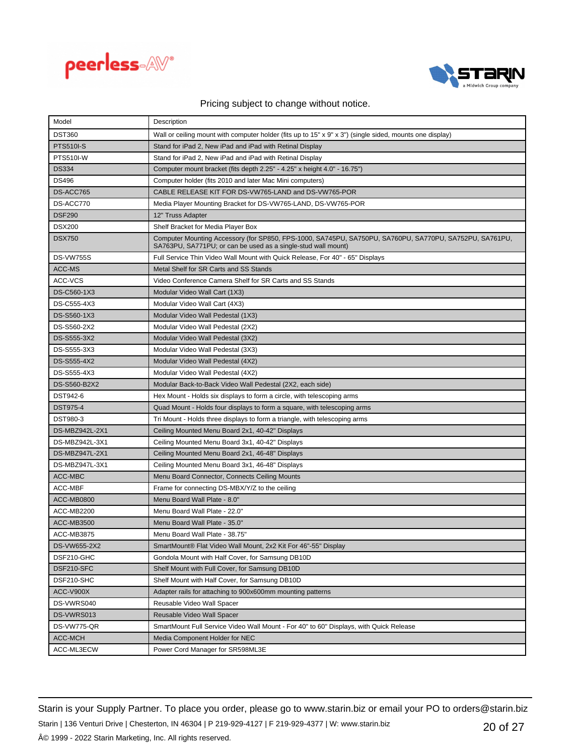



| Model             | Description                                                                                                                                                              |
|-------------------|--------------------------------------------------------------------------------------------------------------------------------------------------------------------------|
| <b>DST360</b>     | Wall or ceiling mount with computer holder (fits up to $15" \times 9" \times 3"$ ) (single sided, mounts one display)                                                    |
| <b>PTS510I-S</b>  | Stand for iPad 2, New iPad and iPad with Retinal Display                                                                                                                 |
| PTS510I-W         | Stand for iPad 2, New iPad and iPad with Retinal Display                                                                                                                 |
| <b>DS334</b>      | Computer mount bracket (fits depth 2.25" - 4.25" x height 4.0" - 16.75")                                                                                                 |
| DS496             | Computer holder (fits 2010 and later Mac Mini computers)                                                                                                                 |
| DS-ACC765         | CABLE RELEASE KIT FOR DS-VW765-LAND and DS-VW765-POR                                                                                                                     |
| DS-ACC770         | Media Player Mounting Bracket for DS-VW765-LAND, DS-VW765-POR                                                                                                            |
| <b>DSF290</b>     | 12" Truss Adapter                                                                                                                                                        |
| <b>DSX200</b>     | Shelf Bracket for Media Player Box                                                                                                                                       |
| <b>DSX750</b>     | Computer Mounting Accessory (for SP850, FPS-1000, SA745PU, SA750PU, SA760PU, SA770PU, SA752PU, SA761PU,<br>SA763PU, SA771PU; or can be used as a single-stud wall mount) |
| <b>DS-VW755S</b>  | Full Service Thin Video Wall Mount with Quick Release, For 40" - 65" Displays                                                                                            |
| ACC-MS            | Metal Shelf for SR Carts and SS Stands                                                                                                                                   |
| ACC-VCS           | Video Conference Camera Shelf for SR Carts and SS Stands                                                                                                                 |
| DS-C560-1X3       | Modular Video Wall Cart (1X3)                                                                                                                                            |
| DS-C555-4X3       | Modular Video Wall Cart (4X3)                                                                                                                                            |
| DS-S560-1X3       | Modular Video Wall Pedestal (1X3)                                                                                                                                        |
| DS-S560-2X2       | Modular Video Wall Pedestal (2X2)                                                                                                                                        |
| DS-S555-3X2       | Modular Video Wall Pedestal (3X2)                                                                                                                                        |
| DS-S555-3X3       | Modular Video Wall Pedestal (3X3)                                                                                                                                        |
| DS-S555-4X2       | Modular Video Wall Pedestal (4X2)                                                                                                                                        |
| DS-S555-4X3       | Modular Video Wall Pedestal (4X2)                                                                                                                                        |
| DS-S560-B2X2      | Modular Back-to-Back Video Wall Pedestal (2X2, each side)                                                                                                                |
| DST942-6          | Hex Mount - Holds six displays to form a circle, with telescoping arms                                                                                                   |
| DST975-4          | Quad Mount - Holds four displays to form a square, with telescoping arms                                                                                                 |
| DST980-3          | Tri Mount - Holds three displays to form a triangle, with telescoping arms                                                                                               |
| DS-MBZ942L-2X1    | Ceiling Mounted Menu Board 2x1, 40-42" Displays                                                                                                                          |
| DS-MBZ942L-3X1    | Ceiling Mounted Menu Board 3x1, 40-42" Displays                                                                                                                          |
| DS-MBZ947L-2X1    | Ceiling Mounted Menu Board 2x1, 46-48" Displays                                                                                                                          |
| DS-MBZ947L-3X1    | Ceiling Mounted Menu Board 3x1, 46-48" Displays                                                                                                                          |
| ACC-MBC           | Menu Board Connector, Connects Ceiling Mounts                                                                                                                            |
| ACC-MBF           | Frame for connecting DS-MBX/Y/Z to the ceiling                                                                                                                           |
| <b>ACC-MB0800</b> | Menu Board Wall Plate - 8.0"                                                                                                                                             |
| ACC-MB2200        | Menu Board Wall Plate - 22.0"                                                                                                                                            |
| <b>ACC-MB3500</b> | Menu Board Wall Plate - 35.0"                                                                                                                                            |
| ACC-MB3875        | Menu Board Wall Plate - 38.75"                                                                                                                                           |
| DS-VW655-2X2      | SmartMount® Flat Video Wall Mount, 2x2 Kit For 46"-55" Display                                                                                                           |
| DSF210-GHC        | Gondola Mount with Half Cover, for Samsung DB10D                                                                                                                         |
| DSF210-SFC        | Shelf Mount with Full Cover, for Samsung DB10D                                                                                                                           |
| DSF210-SHC        | Shelf Mount with Half Cover, for Samsung DB10D                                                                                                                           |
| ACC-V900X         | Adapter rails for attaching to 900x600mm mounting patterns                                                                                                               |
| DS-VWRS040        | Reusable Video Wall Spacer                                                                                                                                               |
| DS-VWRS013        | Reusable Video Wall Spacer                                                                                                                                               |
| DS-VW775-QR       | SmartMount Full Service Video Wall Mount - For 40" to 60" Displays, with Quick Release                                                                                   |
| ACC-MCH           | Media Component Holder for NEC                                                                                                                                           |
| ACC-ML3ECW        | Power Cord Manager for SR598ML3E                                                                                                                                         |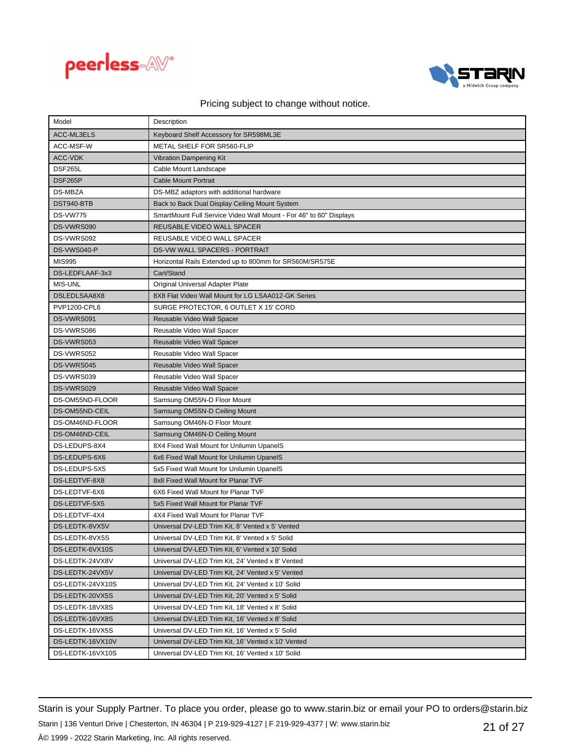



| Model            | Description                                                        |
|------------------|--------------------------------------------------------------------|
| ACC-ML3ELS       | Keyboard Shelf Accessory for SR598ML3E                             |
| ACC-MSF-W        | METAL SHELF FOR SR560-FLIP                                         |
| <b>ACC-VDK</b>   | <b>Vibration Dampening Kit</b>                                     |
| DSF265L          | Cable Mount Landscape                                              |
| DSF265P          | <b>Cable Mount Portrait</b>                                        |
| <b>DS-MBZA</b>   | DS-MBZ adaptors with additional hardware                           |
| DST940-BTB       | Back to Back Dual Display Ceiling Mount System                     |
| <b>DS-VW775</b>  | SmartMount Full Service Video Wall Mount - For 46" to 60" Displays |
| DS-VWRS090       | REUSABLE VIDEO WALL SPACER                                         |
| DS-VWRS092       | REUSABLE VIDEO WALL SPACER                                         |
| DS-VWS040-P      | DS-VW WALL SPACERS - PORTRAIT                                      |
| <b>MIS995</b>    | Horizontal Rails Extended up to 800mm for SR560M/SR575E            |
| DS-LEDFLAAF-3x3  | Cart/Stand                                                         |
| <b>MIS-UNL</b>   | Original Universal Adapter Plate                                   |
| DSLEDLSAA8X8     | 8X8 Flat Video Wall Mount for LG LSAA012-GK Series                 |
| PVP1200-CPL6     | SURGE PROTECTOR, 6 OUTLET X 15' CORD                               |
| DS-VWRS091       | Reusable Video Wall Spacer                                         |
| DS-VWRS086       | Reusable Video Wall Spacer                                         |
| DS-VWRS053       | Reusable Video Wall Spacer                                         |
| DS-VWRS052       | Reusable Video Wall Spacer                                         |
| DS-VWRS045       | Reusable Video Wall Spacer                                         |
| DS-VWRS039       | Reusable Video Wall Spacer                                         |
| DS-VWRS029       | Reusable Video Wall Spacer                                         |
| DS-OM55ND-FLOOR  | Samsung OM55N-D Floor Mount                                        |
| DS-OM55ND-CEIL   | Samsung OM55N-D Ceiling Mount                                      |
| DS-OM46ND-FLOOR  | Samsung OM46N-D Floor Mount                                        |
| DS-OM46ND-CEIL   | Samsung OM46N-D Ceiling Mount                                      |
| DS-LEDUPS-8X4    | 8X4 Fixed Wall Mount for Unilumin UpanelS                          |
| DS-LEDUPS-6X6    | 6x6 Fixed Wall Mount for Unilumin UpanelS                          |
| DS-LEDUPS-5X5    | 5x5 Fixed Wall Mount for Unilumin UpanelS                          |
| DS-LEDTVF-8X8    | 8x8 Fixed Wall Mount for Planar TVF                                |
| DS-LEDTVF-6X6    | 6X6 Fixed Wall Mount for Planar TVF                                |
| DS-LEDTVF-5X5    | 5x5 Fixed Wall Mount for Planar TVF                                |
| DS-LEDTVF-4X4    | 4X4 Fixed Wall Mount for Planar TVF                                |
| DS-LEDTK-8VX5V   | Universal DV-LED Trim Kit, 8' Vented x 5' Vented                   |
| DS-LEDTK-8VX5S   | Universal DV-LED Trim Kit, 8' Vented x 5' Solid                    |
| DS-LEDTK-6VX10S  | Universal DV-LED Trim Kit, 6' Vented x 10' Solid                   |
| DS-LEDTK-24VX8V  | Universal DV-LED Trim Kit, 24' Vented x 8' Vented                  |
| DS-LEDTK-24VX5V  | Universal DV-LED Trim Kit, 24' Vented x 5' Vented                  |
| DS-LEDTK-24VX10S | Universal DV-LED Trim Kit, 24' Vented x 10' Solid                  |
| DS-LEDTK-20VX5S  | Universal DV-LED Trim Kit, 20' Vented x 5' Solid                   |
| DS-LEDTK-18VX8S  | Universal DV-LED Trim Kit, 18' Vented x 8' Solid                   |
| DS-LEDTK-16VX8S  | Universal DV-LED Trim Kit, 16' Vented x 8' Solid                   |
| DS-LEDTK-16VX5S  | Universal DV-LED Trim Kit, 16' Vented x 5' Solid                   |
| DS-LEDTK-16VX10V | Universal DV-LED Trim Kit, 16' Vented x 10' Vented                 |
| DS-LEDTK-16VX10S | Universal DV-LED Trim Kit, 16' Vented x 10' Solid                  |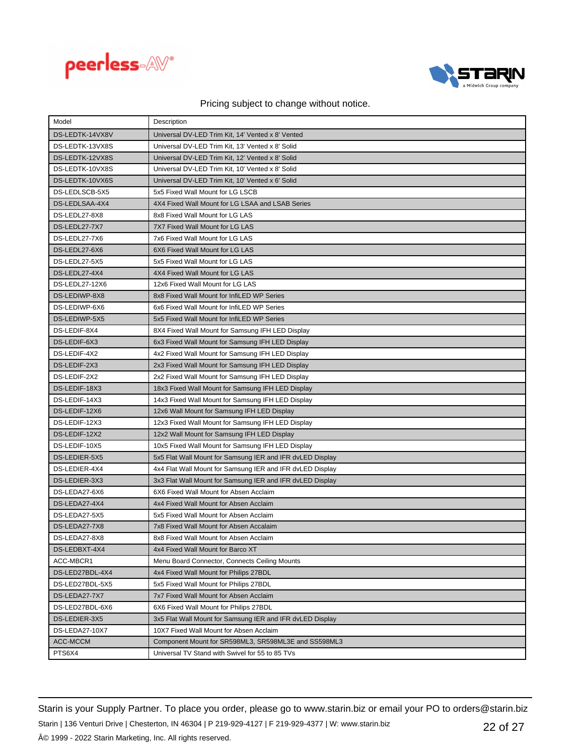



| Model           | Description                                               |
|-----------------|-----------------------------------------------------------|
| DS-LEDTK-14VX8V | Universal DV-LED Trim Kit, 14' Vented x 8' Vented         |
| DS-LEDTK-13VX8S | Universal DV-LED Trim Kit. 13' Vented x 8' Solid          |
| DS-LEDTK-12VX8S | Universal DV-LED Trim Kit, 12' Vented x 8' Solid          |
| DS-LEDTK-10VX8S | Universal DV-LED Trim Kit, 10' Vented x 8' Solid          |
| DS-LEDTK-10VX6S | Universal DV-LED Trim Kit, 10' Vented x 6' Solid          |
| DS-LEDLSCB-5X5  | 5x5 Fixed Wall Mount for LG LSCB                          |
| DS-LEDLSAA-4X4  | 4X4 Fixed Wall Mount for LG LSAA and LSAB Series          |
| DS-LEDL27-8X8   | 8x8 Fixed Wall Mount for LG LAS                           |
| DS-LEDL27-7X7   | 7X7 Fixed Wall Mount for LG LAS                           |
| DS-LEDL27-7X6   | 7x6 Fixed Wall Mount for LG LAS                           |
| DS-LEDL27-6X6   | 6X6 Fixed Wall Mount for LG LAS                           |
| DS-LEDL27-5X5   | 5x5 Fixed Wall Mount for LG LAS                           |
| DS-LEDL27-4X4   | 4X4 Fixed Wall Mount for LG LAS                           |
| DS-LEDL27-12X6  | 12x6 Fixed Wall Mount for LG LAS                          |
| DS-LEDIWP-8X8   | 8x8 Fixed Wall Mount for InfiLED WP Series                |
| DS-LEDIWP-6X6   | 6x6 Fixed Wall Mount for InfiLED WP Series                |
| DS-LEDIWP-5X5   | 5x5 Fixed Wall Mount for InfiLED WP Series                |
| DS-LEDIF-8X4    | 8X4 Fixed Wall Mount for Samsung IFH LED Display          |
| DS-LEDIF-6X3    | 6x3 Fixed Wall Mount for Samsung IFH LED Display          |
| DS-LEDIF-4X2    | 4x2 Fixed Wall Mount for Samsung IFH LED Display          |
| DS-LEDIF-2X3    | 2x3 Fixed Wall Mount for Samsung IFH LED Display          |
| DS-LEDIF-2X2    | 2x2 Fixed Wall Mount for Samsung IFH LED Display          |
| DS-LEDIF-18X3   | 18x3 Fixed Wall Mount for Samsung IFH LED Display         |
| DS-LEDIF-14X3   | 14x3 Fixed Wall Mount for Samsung IFH LED Display         |
| DS-LEDIF-12X6   | 12x6 Wall Mount for Samsung IFH LED Display               |
| DS-LEDIF-12X3   | 12x3 Fixed Wall Mount for Samsung IFH LED Display         |
| DS-LEDIF-12X2   | 12x2 Wall Mount for Samsung IFH LED Display               |
| DS-LEDIF-10X5   | 10x5 Fixed Wall Mount for Samsung IFH LED Display         |
| DS-LEDIER-5X5   | 5x5 Flat Wall Mount for Samsung IER and IFR dvLED Display |
| DS-LEDIER-4X4   | 4x4 Flat Wall Mount for Samsung IER and IFR dvLED Display |
| DS-LEDIER-3X3   | 3x3 Flat Wall Mount for Samsung IER and IFR dvLED Display |
| DS-LEDA27-6X6   | 6X6 Fixed Wall Mount for Absen Acclaim                    |
| DS-LEDA27-4X4   | 4x4 Fixed Wall Mount for Absen Acclaim                    |
| DS-LEDA27-5X5   | 5x5 Fixed Wall Mount for Absen Acclaim                    |
| DS-LEDA27-7X8   | 7x8 Fixed Wall Mount for Absen Accalaim                   |
| DS-LEDA27-8X8   | 8x8 Fixed Wall Mount for Absen Acclaim                    |
| DS-LEDBXT-4X4   | 4x4 Fixed Wall Mount for Barco XT                         |
| ACC-MBCR1       | Menu Board Connector, Connects Ceiling Mounts             |
| DS-LED27BDL-4X4 | 4x4 Fixed Wall Mount for Philips 27BDL                    |
| DS-LED27BDL-5X5 | 5x5 Fixed Wall Mount for Philips 27BDL                    |
| DS-LEDA27-7X7   | 7x7 Fixed Wall Mount for Absen Acclaim                    |
| DS-LED27BDL-6X6 | 6X6 Fixed Wall Mount for Philips 27BDL                    |
| DS-LEDIER-3X5   | 3x5 Flat Wall Mount for Samsung IER and IFR dvLED Display |
| DS-LEDA27-10X7  | 10X7 Fixed Wall Mount for Absen Acclaim                   |
| ACC-MCCM        | Component Mount for SR598ML3, SR598ML3E and SS598ML3      |
| PTS6X4          | Universal TV Stand with Swivel for 55 to 85 TVs           |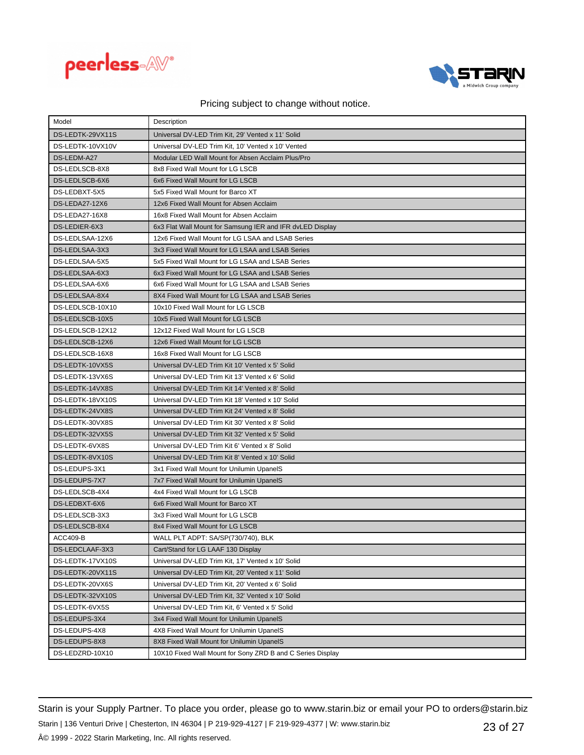



| Model            | Description                                                |
|------------------|------------------------------------------------------------|
| DS-LEDTK-29VX11S | Universal DV-LED Trim Kit, 29' Vented x 11' Solid          |
| DS-LEDTK-10VX10V | Universal DV-LED Trim Kit. 10' Vented x 10' Vented         |
| DS-LEDM-A27      | Modular LED Wall Mount for Absen Acclaim Plus/Pro          |
| DS-LEDLSCB-8X8   | 8x8 Fixed Wall Mount for LG LSCB                           |
| DS-LEDLSCB-6X6   | 6x6 Fixed Wall Mount for LG LSCB                           |
| DS-LEDBXT-5X5    | 5x5 Fixed Wall Mount for Barco XT                          |
| DS-LEDA27-12X6   | 12x6 Fixed Wall Mount for Absen Acclaim                    |
| DS-LEDA27-16X8   | 16x8 Fixed Wall Mount for Absen Acclaim                    |
| DS-LEDIER-6X3    | 6x3 Flat Wall Mount for Samsung IER and IFR dvLED Display  |
| DS-LEDLSAA-12X6  | 12x6 Fixed Wall Mount for LG LSAA and LSAB Series          |
| DS-LEDLSAA-3X3   | 3x3 Fixed Wall Mount for LG LSAA and LSAB Series           |
| DS-LEDLSAA-5X5   | 5x5 Fixed Wall Mount for LG LSAA and LSAB Series           |
| DS-LEDLSAA-6X3   | 6x3 Fixed Wall Mount for LG LSAA and LSAB Series           |
| DS-LEDLSAA-6X6   | 6x6 Fixed Wall Mount for LG LSAA and LSAB Series           |
| DS-LEDLSAA-8X4   | 8X4 Fixed Wall Mount for LG LSAA and LSAB Series           |
| DS-LEDLSCB-10X10 | 10x10 Fixed Wall Mount for LG LSCB                         |
| DS-LEDLSCB-10X5  | 10x5 Fixed Wall Mount for LG LSCB                          |
| DS-LEDLSCB-12X12 | 12x12 Fixed Wall Mount for LG LSCB                         |
| DS-LEDLSCB-12X6  | 12x6 Fixed Wall Mount for LG LSCB                          |
| DS-LEDLSCB-16X8  | 16x8 Fixed Wall Mount for LG LSCB                          |
| DS-LEDTK-10VX5S  | Universal DV-LED Trim Kit 10' Vented x 5' Solid            |
| DS-LEDTK-13VX6S  | Universal DV-LED Trim Kit 13' Vented x 6' Solid            |
| DS-LEDTK-14VX8S  | Universal DV-LED Trim Kit 14' Vented x 8' Solid            |
| DS-LEDTK-18VX10S | Universal DV-LED Trim Kit 18' Vented x 10' Solid           |
| DS-LEDTK-24VX8S  | Universal DV-LED Trim Kit 24' Vented x 8' Solid            |
| DS-LEDTK-30VX8S  | Universal DV-LED Trim Kit 30' Vented x 8' Solid            |
| DS-LEDTK-32VX5S  | Universal DV-LED Trim Kit 32' Vented x 5' Solid            |
| DS-LEDTK-6VX8S   | Universal DV-LED Trim Kit 6' Vented x 8' Solid             |
| DS-LEDTK-8VX10S  | Universal DV-LED Trim Kit 8' Vented x 10' Solid            |
| DS-LEDUPS-3X1    | 3x1 Fixed Wall Mount for Unilumin UpanelS                  |
| DS-LEDUPS-7X7    | 7x7 Fixed Wall Mount for Unilumin UpanelS                  |
| DS-LEDLSCB-4X4   | 4x4 Fixed Wall Mount for LG LSCB                           |
| DS-LEDBXT-6X6    | 6x6 Fixed Wall Mount for Barco XT                          |
| DS-LEDLSCB-3X3   | 3x3 Fixed Wall Mount for LG LSCB                           |
| DS-LEDLSCB-8X4   | 8x4 Fixed Wall Mount for LG LSCB                           |
| <b>ACC409-B</b>  | WALL PLT ADPT: SA/SP(730/740), BLK                         |
| DS-LEDCLAAF-3X3  | Cart/Stand for LG LAAF 130 Display                         |
| DS-LEDTK-17VX10S | Universal DV-LED Trim Kit, 17' Vented x 10' Solid          |
| DS-LEDTK-20VX11S | Universal DV-LED Trim Kit, 20' Vented x 11' Solid          |
| DS-LEDTK-20VX6S  | Universal DV-LED Trim Kit, 20' Vented x 6' Solid           |
| DS-LEDTK-32VX10S | Universal DV-LED Trim Kit, 32' Vented x 10' Solid          |
| DS-LEDTK-6VX5S   | Universal DV-LED Trim Kit, 6' Vented x 5' Solid            |
| DS-LEDUPS-3X4    | 3x4 Fixed Wall Mount for Unilumin UpanelS                  |
| DS-LEDUPS-4X8    | 4X8 Fixed Wall Mount for Unilumin UpanelS                  |
| DS-LEDUPS-8X8    | 8X8 Fixed Wall Mount for Unilumin UpanelS                  |
| DS-LEDZRD-10X10  | 10X10 Fixed Wall Mount for Sony ZRD B and C Series Display |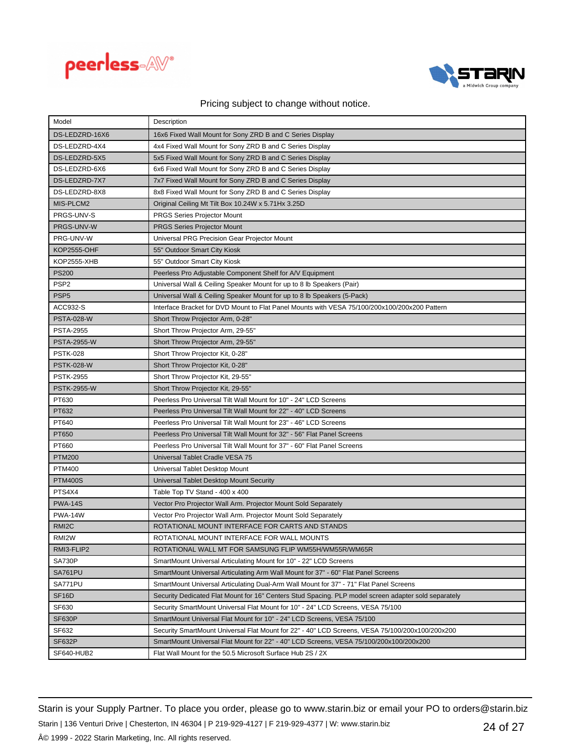



| Model              | Description                                                                                          |
|--------------------|------------------------------------------------------------------------------------------------------|
| DS-LEDZRD-16X6     | 16x6 Fixed Wall Mount for Sony ZRD B and C Series Display                                            |
| DS-LEDZRD-4X4      | 4x4 Fixed Wall Mount for Sony ZRD B and C Series Display                                             |
| DS-LEDZRD-5X5      | 5x5 Fixed Wall Mount for Sony ZRD B and C Series Display                                             |
| DS-LEDZRD-6X6      | 6x6 Fixed Wall Mount for Sony ZRD B and C Series Display                                             |
| DS-LEDZRD-7X7      | 7x7 Fixed Wall Mount for Sony ZRD B and C Series Display                                             |
| DS-LEDZRD-8X8      | 8x8 Fixed Wall Mount for Sony ZRD B and C Series Display                                             |
| MIS-PLCM2          | Original Ceiling Mt Tilt Box 10.24W x 5.71Hx 3.25D                                                   |
| PRGS-UNV-S         | <b>PRGS Series Projector Mount</b>                                                                   |
| PRGS-UNV-W         | PRGS Series Projector Mount                                                                          |
| PRG-UNV-W          | Universal PRG Precision Gear Projector Mount                                                         |
| <b>KOP2555-OHF</b> | 55" Outdoor Smart City Kiosk                                                                         |
| KOP2555-XHB        | 55" Outdoor Smart City Kiosk                                                                         |
| <b>PS200</b>       | Peerless Pro Adjustable Component Shelf for A/V Equipment                                            |
| PSP <sub>2</sub>   | Universal Wall & Ceiling Speaker Mount for up to 8 lb Speakers (Pair)                                |
| PSP <sub>5</sub>   | Universal Wall & Ceiling Speaker Mount for up to 8 lb Speakers (5-Pack)                              |
| ACC932-S           | Interface Bracket for DVD Mount to Flat Panel Mounts with VESA 75/100/200x100/200x200 Pattern        |
| <b>PSTA-028-W</b>  | Short Throw Projector Arm, 0-28"                                                                     |
| <b>PSTA-2955</b>   | Short Throw Projector Arm, 29-55"                                                                    |
| <b>PSTA-2955-W</b> | Short Throw Projector Arm, 29-55"                                                                    |
| <b>PSTK-028</b>    | Short Throw Projector Kit, 0-28"                                                                     |
| <b>PSTK-028-W</b>  | Short Throw Projector Kit, 0-28"                                                                     |
| <b>PSTK-2955</b>   | Short Throw Projector Kit, 29-55"                                                                    |
| <b>PSTK-2955-W</b> | Short Throw Projector Kit, 29-55"                                                                    |
| PT630              | Peerless Pro Universal Tilt Wall Mount for 10" - 24" LCD Screens                                     |
| PT632              | Peerless Pro Universal Tilt Wall Mount for 22" - 40" LCD Screens                                     |
| PT640              | Peerless Pro Universal Tilt Wall Mount for 23" - 46" LCD Screens                                     |
| PT650              | Peerless Pro Universal Tilt Wall Mount for 32" - 56" Flat Panel Screens                              |
| PT660              | Peerless Pro Universal Tilt Wall Mount for 37" - 60" Flat Panel Screens                              |
| <b>PTM200</b>      | Universal Tablet Cradle VESA 75                                                                      |
| <b>PTM400</b>      | Universal Tablet Desktop Mount                                                                       |
| <b>PTM400S</b>     | Universal Tablet Desktop Mount Security                                                              |
| PTS4X4             | Table Top TV Stand - 400 x 400                                                                       |
| <b>PWA-14S</b>     | Vector Pro Projector Wall Arm. Projector Mount Sold Separately                                       |
| <b>PWA-14W</b>     | Vector Pro Projector Wall Arm. Projector Mount Sold Separately                                       |
| RMI <sub>2</sub> C | ROTATIONAL MOUNT INTERFACE FOR CARTS AND STANDS                                                      |
| RMI <sub>2</sub> W | ROTATIONAL MOUNT INTERFACE FOR WALL MOUNTS                                                           |
| RMI3-FLIP2         | ROTATIONAL WALL MT FOR SAMSUNG FLIP WM55H/WM55R/WM65R                                                |
| SA730P             | SmartMount Universal Articulating Mount for 10" - 22" LCD Screens                                    |
| SA761PU            | SmartMount Universal Articulating Arm Wall Mount for 37" - 60" Flat Panel Screens                    |
| SA771PU            | SmartMount Universal Articulating Dual-Arm Wall Mount for 37" - 71" Flat Panel Screens               |
| SF <sub>16</sub> D | Security Dedicated Flat Mount for 16" Centers Stud Spacing. PLP model screen adapter sold separately |
| SF630              | Security SmartMount Universal Flat Mount for 10" - 24" LCD Screens, VESA 75/100                      |
| SF630P             | SmartMount Universal Flat Mount for 10" - 24" LCD Screens, VESA 75/100                               |
| SF632              | Security SmartMount Universal Flat Mount for 22" - 40" LCD Screens, VESA 75/100/200x100/200x200      |
| <b>SF632P</b>      | SmartMount Universal Flat Mount for 22" - 40" LCD Screens, VESA 75/100/200x100/200x200               |
| SF640-HUB2         | Flat Wall Mount for the 50.5 Microsoft Surface Hub 2S / 2X                                           |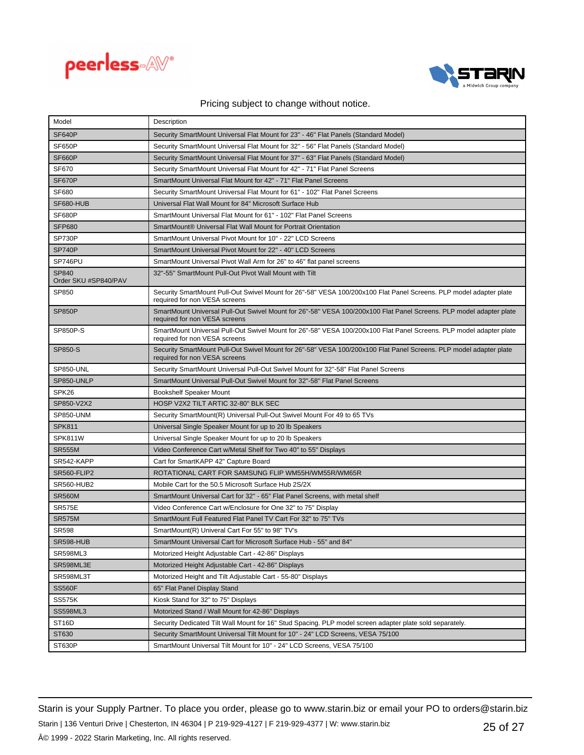



| Model                         | Description                                                                                                                                          |
|-------------------------------|------------------------------------------------------------------------------------------------------------------------------------------------------|
| SF640P                        | Security SmartMount Universal Flat Mount for 23" - 46" Flat Panels (Standard Model)                                                                  |
| SF650P                        | Security SmartMount Universal Flat Mount for 32" - 56" Flat Panels (Standard Model)                                                                  |
| <b>SF660P</b>                 | Security SmartMount Universal Flat Mount for 37" - 63" Flat Panels (Standard Model)                                                                  |
| <b>SF670</b>                  | Security SmartMount Universal Flat Mount for 42" - 71" Flat Panel Screens                                                                            |
| SF670P                        | SmartMount Universal Flat Mount for 42" - 71" Flat Panel Screens                                                                                     |
| <b>SF680</b>                  | Security SmartMount Universal Flat Mount for 61" - 102" Flat Panel Screens                                                                           |
| SF680-HUB                     | Universal Flat Wall Mount for 84" Microsoft Surface Hub                                                                                              |
| SF680P                        | SmartMount Universal Flat Mount for 61" - 102" Flat Panel Screens                                                                                    |
| <b>SFP680</b>                 | SmartMount® Universal Flat Wall Mount for Portrait Orientation                                                                                       |
| <b>SP730P</b>                 | SmartMount Universal Pivot Mount for 10" - 22" LCD Screens                                                                                           |
| <b>SP740P</b>                 | SmartMount Universal Pivot Mount for 22" - 40" LCD Screens                                                                                           |
| SP746PU                       | SmartMount Universal Pivot Wall Arm for 26" to 46" flat panel screens                                                                                |
| SP840<br>Order SKU #SP840/PAV | 32"-55" SmartMount Pull-Out Pivot Wall Mount with Tilt                                                                                               |
| SP850                         | Security SmartMount Pull-Out Swivel Mount for 26"-58" VESA 100/200x100 Flat Panel Screens. PLP model adapter plate<br>required for non VESA screens  |
| <b>SP850P</b>                 | SmartMount Universal Pull-Out Swivel Mount for 26"-58" VESA 100/200x100 Flat Panel Screens. PLP model adapter plate<br>required for non VESA screens |
| SP850P-S                      | SmartMount Universal Pull-Out Swivel Mount for 26"-58" VESA 100/200x100 Flat Panel Screens. PLP model adapter plate<br>required for non VESA screens |
| SP850-S                       | Security SmartMount Pull-Out Swivel Mount for 26"-58" VESA 100/200x100 Flat Panel Screens. PLP model adapter plate<br>required for non VESA screens  |
| SP850-UNL                     | Security SmartMount Universal Pull-Out Swivel Mount for 32"-58" Flat Panel Screens                                                                   |
| SP850-UNLP                    | SmartMount Universal Pull-Out Swivel Mount for 32"-58" Flat Panel Screens                                                                            |
| SPK26                         | <b>Bookshelf Speaker Mount</b>                                                                                                                       |
| SP850-V2X2                    | HOSP V2X2 TILT ARTIC 32-80" BLK SEC                                                                                                                  |
| SP850-UNM                     | Security SmartMount(R) Universal Pull-Out Swivel Mount For 49 to 65 TVs                                                                              |
| <b>SPK811</b>                 | Universal Single Speaker Mount for up to 20 lb Speakers                                                                                              |
| SPK811W                       | Universal Single Speaker Mount for up to 20 lb Speakers                                                                                              |
| <b>SR555M</b>                 | Video Conference Cart w/Metal Shelf for Two 40" to 55" Displays                                                                                      |
| SR542-KAPP                    | Cart for SmartKAPP 42" Capture Board                                                                                                                 |
| SR560-FLIP2                   | ROTATIONAL CART FOR SAMSUNG FLIP WM55H/WM55R/WM65R                                                                                                   |
| <b>SR560-HUB2</b>             | Mobile Cart for the 50.5 Microsoft Surface Hub 2S/2X                                                                                                 |
| <b>SR560M</b>                 | SmartMount Universal Cart for 32" - 65" Flat Panel Screens, with metal shelf                                                                         |
| <b>SR575E</b>                 | Video Conference Cart w/Enclosure for One 32" to 75" Display                                                                                         |
| <b>SR575M</b>                 | SmartMount Full Featured Flat Panel TV Cart For 32" to 75" TVs                                                                                       |
| <b>SR598</b>                  | SmartMount(R) Univeral Cart For 55" to 98" TV's                                                                                                      |
| SR598-HUB                     | SmartMount Universal Cart for Microsoft Surface Hub - 55" and 84"                                                                                    |
| <b>SR598ML3</b>               | Motorized Height Adjustable Cart - 42-86" Displays                                                                                                   |
| SR598ML3E                     | Motorized Height Adjustable Cart - 42-86" Displays                                                                                                   |
| SR598ML3T                     | Motorized Height and Tilt Adjustable Cart - 55-80" Displays                                                                                          |
| <b>SS560F</b>                 | 65" Flat Panel Display Stand                                                                                                                         |
| <b>SS575K</b>                 | Kiosk Stand for 32" to 75" Displays                                                                                                                  |
| <b>SS598ML3</b>               | Motorized Stand / Wall Mount for 42-86" Displays                                                                                                     |
| ST <sub>16</sub> D            | Security Dedicated Tilt Wall Mount for 16" Stud Spacing. PLP model screen adapter plate sold separately.                                             |
| ST630                         | Security SmartMount Universal Tilt Mount for 10" - 24" LCD Screens, VESA 75/100                                                                      |
| ST630P                        | SmartMount Universal Tilt Mount for 10" - 24" LCD Screens, VESA 75/100                                                                               |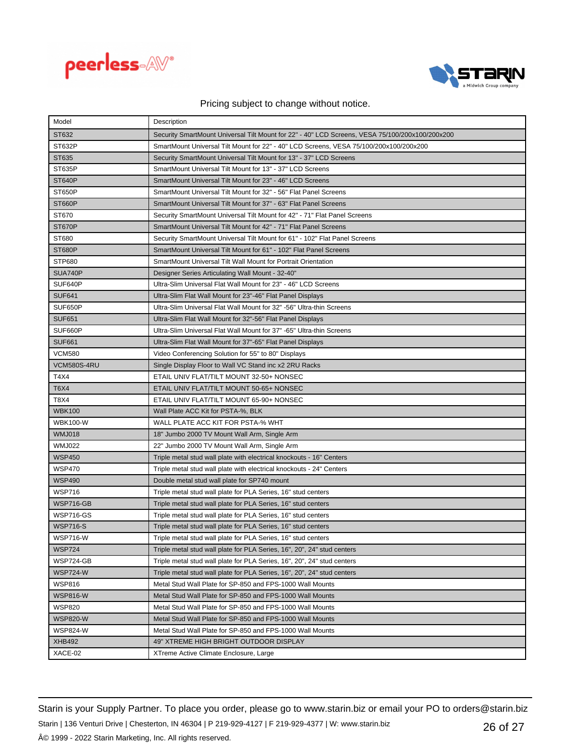



| Model              | Description                                                                                     |
|--------------------|-------------------------------------------------------------------------------------------------|
| ST632              | Security SmartMount Universal Tilt Mount for 22" - 40" LCD Screens, VESA 75/100/200x100/200x200 |
| ST632P             | SmartMount Universal Tilt Mount for 22" - 40" LCD Screens, VESA 75/100/200x100/200x200          |
| ST635              | Security SmartMount Universal Tilt Mount for 13" - 37" LCD Screens                              |
| ST635P             | SmartMount Universal Tilt Mount for 13" - 37" LCD Screens                                       |
| <b>ST640P</b>      | SmartMount Universal Tilt Mount for 23" - 46" LCD Screens                                       |
| ST650P             | SmartMount Universal Tilt Mount for 32" - 56" Flat Panel Screens                                |
| <b>ST660P</b>      | SmartMount Universal Tilt Mount for 37" - 63" Flat Panel Screens                                |
| ST670              | Security SmartMount Universal Tilt Mount for 42" - 71" Flat Panel Screens                       |
| ST670P             | SmartMount Universal Tilt Mount for 42" - 71" Flat Panel Screens                                |
| ST680              | Security SmartMount Universal Tilt Mount for 61" - 102" Flat Panel Screens                      |
| <b>ST680P</b>      | SmartMount Universal Tilt Mount for 61" - 102" Flat Panel Screens                               |
| <b>STP680</b>      | SmartMount Universal Tilt Wall Mount for Portrait Orientation                                   |
| SUA740P            | Designer Series Articulating Wall Mount - 32-40"                                                |
| SUF640P            | Ultra-Slim Universal Flat Wall Mount for 23" - 46" LCD Screens                                  |
| <b>SUF641</b>      | Ultra-Slim Flat Wall Mount for 23"-46" Flat Panel Displays                                      |
| SUF650P            | Ultra-Slim Universal Flat Wall Mount for 32" -56" Ultra-thin Screens                            |
| <b>SUF651</b>      | Ultra-Slim Flat Wall Mount for 32"-56" Flat Panel Displays                                      |
| SUF660P            | Ultra-Slim Universal Flat Wall Mount for 37" -65" Ultra-thin Screens                            |
| <b>SUF661</b>      | Ultra-Slim Flat Wall Mount for 37"-65" Flat Panel Displays                                      |
| <b>VCM580</b>      | Video Conferencing Solution for 55" to 80" Displays                                             |
| <b>VCM580S-4RU</b> | Single Display Floor to Wall VC Stand inc x2 2RU Racks                                          |
| T4X4               | ETAIL UNIV FLAT/TILT MOUNT 32-50+ NONSEC                                                        |
| <b>T6X4</b>        | ETAIL UNIV FLAT/TILT MOUNT 50-65+ NONSEC                                                        |
| T8X4               | ETAIL UNIV FLAT/TILT MOUNT 65-90+ NONSEC                                                        |
| <b>WBK100</b>      | Wall Plate ACC Kit for PSTA-%, BLK                                                              |
| <b>WBK100-W</b>    | WALL PLATE ACC KIT FOR PSTA-% WHT                                                               |
| <b>WMJ018</b>      | 18" Jumbo 2000 TV Mount Wall Arm, Single Arm                                                    |
| <b>WMJ022</b>      | 22" Jumbo 2000 TV Mount Wall Arm, Single Arm                                                    |
| <b>WSP450</b>      | Triple metal stud wall plate with electrical knockouts - 16" Centers                            |
| <b>WSP470</b>      | Triple metal stud wall plate with electrical knockouts - 24" Centers                            |
| <b>WSP490</b>      | Double metal stud wall plate for SP740 mount                                                    |
| <b>WSP716</b>      | Triple metal stud wall plate for PLA Series, 16" stud centers                                   |
| WSP716-GB          | Triple metal stud wall plate for PLA Series, 16" stud centers                                   |
| <b>WSP716-GS</b>   | Triple metal stud wall plate for PLA Series, 16" stud centers                                   |
| <b>WSP716-S</b>    | Triple metal stud wall plate for PLA Series, 16" stud centers                                   |
| <b>WSP716-W</b>    | Triple metal stud wall plate for PLA Series, 16" stud centers                                   |
| <b>WSP724</b>      | Triple metal stud wall plate for PLA Series, 16", 20", 24" stud centers                         |
| WSP724-GB          | Triple metal stud wall plate for PLA Series, 16", 20", 24" stud centers                         |
| <b>WSP724-W</b>    | Triple metal stud wall plate for PLA Series, 16", 20", 24" stud centers                         |
| <b>WSP816</b>      | Metal Stud Wall Plate for SP-850 and FPS-1000 Wall Mounts                                       |
| <b>WSP816-W</b>    | Metal Stud Wall Plate for SP-850 and FPS-1000 Wall Mounts                                       |
| <b>WSP820</b>      | Metal Stud Wall Plate for SP-850 and FPS-1000 Wall Mounts                                       |
| <b>WSP820-W</b>    | Metal Stud Wall Plate for SP-850 and FPS-1000 Wall Mounts                                       |
| WSP824-W           | Metal Stud Wall Plate for SP-850 and FPS-1000 Wall Mounts                                       |
| <b>XHB492</b>      | 49" XTREME HIGH BRIGHT OUTDOOR DISPLAY                                                          |
| XACE-02            | XTreme Active Climate Enclosure, Large                                                          |